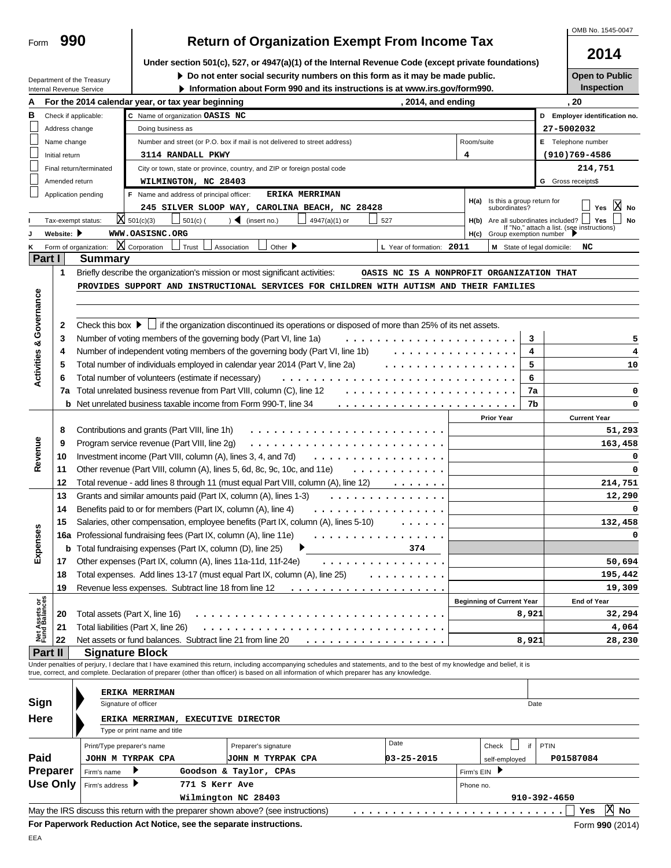|                                    |                                |                                                                                                     |                                                                                           |            |                                                                            |                                                                                                                                                                                                                                                                                                                          |                                           |            |                                  |           |                            | OMB No. 1545-0047                                              |
|------------------------------------|--------------------------------|-----------------------------------------------------------------------------------------------------|-------------------------------------------------------------------------------------------|------------|----------------------------------------------------------------------------|--------------------------------------------------------------------------------------------------------------------------------------------------------------------------------------------------------------------------------------------------------------------------------------------------------------------------|-------------------------------------------|------------|----------------------------------|-----------|----------------------------|----------------------------------------------------------------|
| Form                               | 990                            |                                                                                                     |                                                                                           |            |                                                                            | <b>Return of Organization Exempt From Income Tax</b>                                                                                                                                                                                                                                                                     |                                           |            |                                  |           |                            |                                                                |
|                                    |                                |                                                                                                     |                                                                                           |            |                                                                            | Under section 501(c), 527, or 4947(a)(1) of the Internal Revenue Code (except private foundations)                                                                                                                                                                                                                       |                                           |            |                                  |           |                            | 2014                                                           |
|                                    |                                |                                                                                                     |                                                                                           |            |                                                                            | Do not enter social security numbers on this form as it may be made public.                                                                                                                                                                                                                                              |                                           |            |                                  |           |                            | <b>Open to Public</b>                                          |
|                                    |                                | Department of the Treasury<br>Internal Revenue Service                                              |                                                                                           |            |                                                                            | Information about Form 990 and its instructions is at www.irs.gov/form990.                                                                                                                                                                                                                                               |                                           |            |                                  |           |                            | Inspection                                                     |
| A                                  |                                |                                                                                                     | For the 2014 calendar year, or tax year beginning                                         |            |                                                                            |                                                                                                                                                                                                                                                                                                                          | , 2014, and ending                        |            |                                  |           |                            | . 20                                                           |
| в                                  |                                | Check if applicable:                                                                                | C Name of organization OASIS NC                                                           |            |                                                                            |                                                                                                                                                                                                                                                                                                                          |                                           |            |                                  |           |                            | D Employer identification no.                                  |
|                                    | Address change                 |                                                                                                     | Doing business as                                                                         |            |                                                                            |                                                                                                                                                                                                                                                                                                                          |                                           |            |                                  |           | 27-5002032                 |                                                                |
|                                    | Name change                    |                                                                                                     |                                                                                           |            | Number and street (or P.O. box if mail is not delivered to street address) |                                                                                                                                                                                                                                                                                                                          |                                           | Room/suite |                                  |           |                            | E Telephone number                                             |
|                                    | Initial return                 |                                                                                                     | 3114 RANDALL PKWY                                                                         |            |                                                                            |                                                                                                                                                                                                                                                                                                                          |                                           | 4          |                                  |           |                            | $(910)769 - 4586$                                              |
|                                    |                                | Final return/terminated                                                                             |                                                                                           |            | City or town, state or province, country, and ZIP or foreign postal code   |                                                                                                                                                                                                                                                                                                                          |                                           |            |                                  |           |                            | 214,751                                                        |
|                                    |                                |                                                                                                     |                                                                                           |            |                                                                            |                                                                                                                                                                                                                                                                                                                          |                                           |            |                                  |           |                            |                                                                |
|                                    | Amended return                 |                                                                                                     | WILMINGTON, NC 28403                                                                      |            |                                                                            |                                                                                                                                                                                                                                                                                                                          |                                           |            |                                  |           | G Gross receipts\$         |                                                                |
|                                    |                                | Application pending                                                                                 | F Name and address of principal officer:                                                  |            |                                                                            | <b>ERIKA MERRIMAN</b>                                                                                                                                                                                                                                                                                                    |                                           | H(a)       | Is this a group return for       |           |                            | ΙXΙ                                                            |
|                                    |                                |                                                                                                     |                                                                                           |            |                                                                            | 245 SILVER SLOOP WAY, CAROLINA BEACH, NC 28428                                                                                                                                                                                                                                                                           |                                           |            | subordinates?                    |           |                            | Yes<br><b>No</b>                                               |
|                                    |                                | Tax-exempt status:                                                                                  | $X = 501(c)(3)$                                                                           | $501(c)$ ( | $)$ (insert no.)                                                           | 4947(a)(1) or                                                                                                                                                                                                                                                                                                            | 527                                       | H(b)       | Are all subordinates included? [ |           |                            | <b>No</b><br>Yes<br>If "No," attach a list. (see instructions) |
|                                    | Website: $\blacktriangleright$ |                                                                                                     | WWW.OASISNC.ORG                                                                           |            |                                                                            |                                                                                                                                                                                                                                                                                                                          |                                           |            | H(c) Group exemption number      |           |                            |                                                                |
| Κ                                  |                                | Form of organization:                                                                               | X Corporation<br>Trust                                                                    |            | Other $\blacktriangleright$<br>Association                                 |                                                                                                                                                                                                                                                                                                                          | L Year of formation: 2011                 |            |                                  |           | M State of legal domicile: | NC                                                             |
| Part I                             |                                | <b>Summary</b>                                                                                      |                                                                                           |            |                                                                            |                                                                                                                                                                                                                                                                                                                          |                                           |            |                                  |           |                            |                                                                |
|                                    | 1                              |                                                                                                     | Briefly describe the organization's mission or most significant activities:               |            |                                                                            |                                                                                                                                                                                                                                                                                                                          | OASIS NC IS A NONPROFIT ORGANIZATION THAT |            |                                  |           |                            |                                                                |
|                                    |                                |                                                                                                     |                                                                                           |            |                                                                            | PROVIDES SUPPORT AND INSTRUCTIONAL SERVICES FOR CHILDREN WITH AUTISM AND THEIR FAMILIES                                                                                                                                                                                                                                  |                                           |            |                                  |           |                            |                                                                |
|                                    |                                |                                                                                                     |                                                                                           |            |                                                                            |                                                                                                                                                                                                                                                                                                                          |                                           |            |                                  |           |                            |                                                                |
|                                    |                                |                                                                                                     |                                                                                           |            |                                                                            |                                                                                                                                                                                                                                                                                                                          |                                           |            |                                  |           |                            |                                                                |
|                                    | 2                              |                                                                                                     |                                                                                           |            |                                                                            | Check this box $\blacktriangleright \Box$ if the organization discontinued its operations or disposed of more than 25% of its net assets.                                                                                                                                                                                |                                           |            |                                  |           |                            |                                                                |
|                                    | 3                              |                                                                                                     | Number of voting members of the governing body (Part VI, line 1a)                         |            |                                                                            |                                                                                                                                                                                                                                                                                                                          |                                           |            |                                  | 3         |                            | 5                                                              |
| <b>Activities &amp; Governance</b> | 4                              |                                                                                                     |                                                                                           |            |                                                                            | Number of independent voting members of the governing body (Part VI, line 1b)                                                                                                                                                                                                                                            |                                           |            |                                  | 4         |                            | 4                                                              |
|                                    | 5                              |                                                                                                     | Total number of individuals employed in calendar year 2014 (Part V, line 2a)              |            |                                                                            |                                                                                                                                                                                                                                                                                                                          |                                           |            |                                  | 5         |                            | 10                                                             |
|                                    | 6                              |                                                                                                     | Total number of volunteers (estimate if necessary)                                        |            |                                                                            |                                                                                                                                                                                                                                                                                                                          |                                           |            |                                  | 6         |                            |                                                                |
|                                    | 7a                             |                                                                                                     | Total unrelated business revenue from Part VIII, column (C), line 12                      |            |                                                                            |                                                                                                                                                                                                                                                                                                                          |                                           |            |                                  | 7a        |                            | 0                                                              |
|                                    |                                |                                                                                                     | <b>b</b> Net unrelated business taxable income from Form 990-T, line 34                   |            |                                                                            |                                                                                                                                                                                                                                                                                                                          | .                                         |            |                                  | 7b        |                            | 0                                                              |
|                                    |                                |                                                                                                     |                                                                                           |            |                                                                            |                                                                                                                                                                                                                                                                                                                          |                                           |            | <b>Prior Year</b>                |           |                            | <b>Current Year</b>                                            |
|                                    | 8                              |                                                                                                     | Contributions and grants (Part VIII, line 1h)                                             |            |                                                                            |                                                                                                                                                                                                                                                                                                                          |                                           |            |                                  |           |                            | 51,293                                                         |
|                                    | 9                              |                                                                                                     | Program service revenue (Part VIII, line 2g)                                              |            |                                                                            |                                                                                                                                                                                                                                                                                                                          |                                           |            |                                  |           |                            | 163,458                                                        |
|                                    | 10                             |                                                                                                     | Investment income (Part VIII, column (A), lines 3, 4, and 7d)                             |            |                                                                            |                                                                                                                                                                                                                                                                                                                          |                                           |            |                                  |           |                            |                                                                |
| Revenue                            | 11                             |                                                                                                     | Other revenue (Part VIII, column (A), lines 5, 6d, 8c, 9c, 10c, and 11e)                  |            |                                                                            |                                                                                                                                                                                                                                                                                                                          |                                           |            |                                  |           |                            | 0                                                              |
|                                    | 12                             |                                                                                                     |                                                                                           |            |                                                                            | Total revenue - add lines 8 through 11 (must equal Part VIII, column (A), line 12)                                                                                                                                                                                                                                       |                                           |            |                                  |           |                            | 214,751                                                        |
|                                    | 13                             |                                                                                                     | Grants and similar amounts paid (Part IX, column (A), lines 1-3)                          |            |                                                                            |                                                                                                                                                                                                                                                                                                                          |                                           |            |                                  |           |                            | 12,290                                                         |
|                                    | 14                             |                                                                                                     | Benefits paid to or for members (Part IX, column (A), line 4)                             |            |                                                                            |                                                                                                                                                                                                                                                                                                                          |                                           |            |                                  |           |                            | 0                                                              |
|                                    |                                |                                                                                                     |                                                                                           |            |                                                                            | Salaries, other compensation, employee benefits (Part IX, column (A), lines 5-10)                                                                                                                                                                                                                                        |                                           |            |                                  |           |                            | 132,458                                                        |
|                                    | 15                             |                                                                                                     | 16a Professional fundraising fees (Part IX, column (A), line 11e)                         |            |                                                                            |                                                                                                                                                                                                                                                                                                                          |                                           |            |                                  |           |                            | 0                                                              |
| Expenses                           |                                |                                                                                                     |                                                                                           |            |                                                                            |                                                                                                                                                                                                                                                                                                                          | .                                         |            |                                  |           |                            |                                                                |
|                                    |                                |                                                                                                     | <b>b</b> Total fundraising expenses (Part IX, column (D), line 25)                        |            |                                                                            |                                                                                                                                                                                                                                                                                                                          | 374                                       |            |                                  |           |                            |                                                                |
|                                    | 17                             |                                                                                                     | Other expenses (Part IX, column (A), lines 11a-11d, 11f-24e)                              |            |                                                                            |                                                                                                                                                                                                                                                                                                                          | .                                         |            |                                  |           |                            | 50,694                                                         |
|                                    | 18                             |                                                                                                     | Total expenses. Add lines 13-17 (must equal Part IX, column (A), line 25)                 |            |                                                                            |                                                                                                                                                                                                                                                                                                                          |                                           |            |                                  |           |                            | 195,442                                                        |
|                                    | 19                             |                                                                                                     | Revenue less expenses. Subtract line 18 from line 12                                      |            |                                                                            | .                                                                                                                                                                                                                                                                                                                        |                                           |            |                                  |           |                            | 19,309                                                         |
| Net Assets or<br>Fund Balances     |                                |                                                                                                     |                                                                                           |            |                                                                            |                                                                                                                                                                                                                                                                                                                          |                                           |            | <b>Beginning of Current Year</b> |           |                            | <b>End of Year</b>                                             |
|                                    | 20                             |                                                                                                     | Total assets (Part X, line 16)                                                            |            |                                                                            |                                                                                                                                                                                                                                                                                                                          |                                           |            |                                  | 8,921     |                            | 32,294                                                         |
|                                    | 21                             |                                                                                                     | Total liabilities (Part X, line 26)                                                       |            |                                                                            |                                                                                                                                                                                                                                                                                                                          |                                           |            |                                  |           |                            | 4,064                                                          |
|                                    | 22                             |                                                                                                     | Net assets or fund balances. Subtract line 21 from line 20                                |            |                                                                            |                                                                                                                                                                                                                                                                                                                          | .                                         |            |                                  | 8,921     |                            | 28,230                                                         |
| Part II                            |                                |                                                                                                     | <b>Signature Block</b>                                                                    |            |                                                                            |                                                                                                                                                                                                                                                                                                                          |                                           |            |                                  |           |                            |                                                                |
|                                    |                                |                                                                                                     |                                                                                           |            |                                                                            | Under penalties of perjury, I declare that I have examined this return, including accompanying schedules and statements, and to the best of my knowledge and belief, it is<br>true, correct, and complete. Declaration of preparer (other than officer) is based on all information of which preparer has any knowledge. |                                           |            |                                  |           |                            |                                                                |
|                                    |                                |                                                                                                     |                                                                                           |            |                                                                            |                                                                                                                                                                                                                                                                                                                          |                                           |            |                                  |           |                            |                                                                |
|                                    |                                |                                                                                                     | <b>ERIKA MERRIMAN</b>                                                                     |            |                                                                            |                                                                                                                                                                                                                                                                                                                          |                                           |            |                                  |           |                            |                                                                |
| Sign                               |                                |                                                                                                     | Signature of officer                                                                      |            |                                                                            |                                                                                                                                                                                                                                                                                                                          |                                           |            |                                  | Date      |                            |                                                                |
| <b>Here</b>                        |                                |                                                                                                     | ERIKA MERRIMAN, EXECUTIVE DIRECTOR                                                        |            |                                                                            |                                                                                                                                                                                                                                                                                                                          |                                           |            |                                  |           |                            |                                                                |
|                                    |                                |                                                                                                     | Type or print name and title                                                              |            |                                                                            |                                                                                                                                                                                                                                                                                                                          |                                           |            |                                  |           |                            |                                                                |
|                                    |                                |                                                                                                     |                                                                                           |            | Preparer's signature                                                       |                                                                                                                                                                                                                                                                                                                          | Date                                      |            | Check                            | if        | PTIN                       |                                                                |
| Paid                               |                                | Print/Type preparer's name<br>JOHN M TYRPAK CPA<br>03-25-2015<br>JOHN M TYRPAK CPA<br>self-employed |                                                                                           |            |                                                                            |                                                                                                                                                                                                                                                                                                                          |                                           |            |                                  | P01587084 |                            |                                                                |
| Preparer                           |                                | Firm's name                                                                                         |                                                                                           |            |                                                                            |                                                                                                                                                                                                                                                                                                                          |                                           |            |                                  |           |                            |                                                                |
| <b>Use Only</b>                    |                                |                                                                                                     | Firm's $EIN$<br>Goodson & Taylor, CPAs<br>Firm's address ▶<br>771 S Kerr Ave<br>Phone no. |            |                                                                            |                                                                                                                                                                                                                                                                                                                          |                                           |            |                                  |           |                            |                                                                |
|                                    |                                |                                                                                                     |                                                                                           |            | Wilmington NC 28403                                                        |                                                                                                                                                                                                                                                                                                                          |                                           |            |                                  |           | 910-392-4650               |                                                                |
|                                    |                                |                                                                                                     |                                                                                           |            |                                                                            |                                                                                                                                                                                                                                                                                                                          |                                           |            |                                  |           |                            | 区                                                              |
|                                    |                                |                                                                                                     | May the IRS discuss this return with the preparer shown above? (see instructions)         |            |                                                                            |                                                                                                                                                                                                                                                                                                                          |                                           |            |                                  |           |                            | No<br>Yes                                                      |
|                                    |                                |                                                                                                     | For Paperwork Reduction Act Notice, see the separate instructions.                        |            |                                                                            |                                                                                                                                                                                                                                                                                                                          |                                           |            |                                  |           |                            | Form 990 (2014)                                                |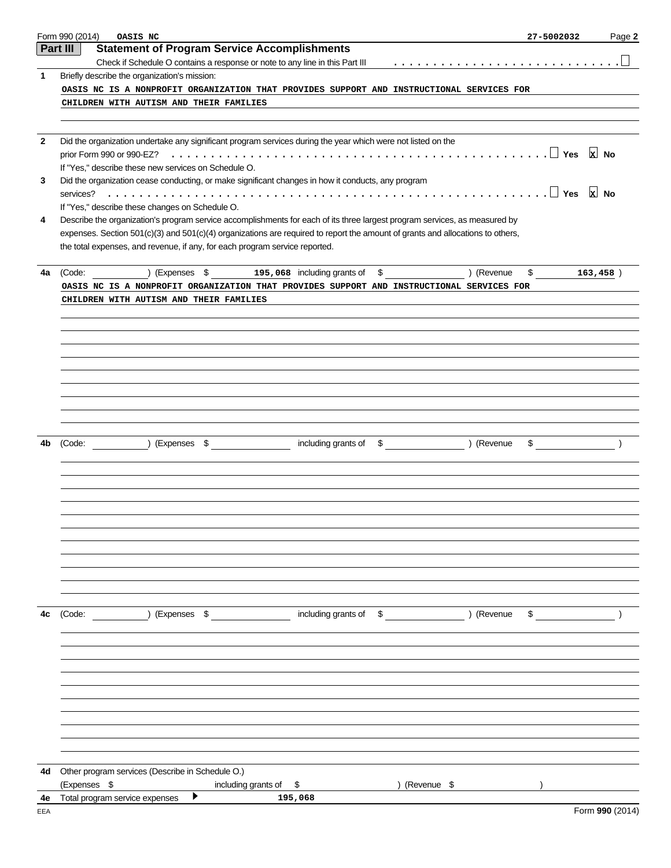|     | Form 990 (2014)<br>OASIS NC<br>27-5002032                                                                                            | Page 2                                                              |
|-----|--------------------------------------------------------------------------------------------------------------------------------------|---------------------------------------------------------------------|
|     | <b>Statement of Program Service Accomplishments</b><br>Part III                                                                      |                                                                     |
|     | <u>.</u><br>Check if Schedule O contains a response or note to any line in this Part III                                             |                                                                     |
| 1   | Briefly describe the organization's mission:                                                                                         |                                                                     |
|     | OASIS NC IS A NONPROFIT ORGANIZATION THAT PROVIDES SUPPORT AND INSTRUCTIONAL SERVICES FOR                                            |                                                                     |
|     | CHILDREN WITH AUTISM AND THEIR FAMILIES                                                                                              |                                                                     |
|     |                                                                                                                                      |                                                                     |
| 2   | Did the organization undertake any significant program services during the year which were not listed on the                         |                                                                     |
|     | prior Form 990 or 990-EZ?                                                                                                            | $x$ No                                                              |
|     | If "Yes," describe these new services on Schedule O.                                                                                 |                                                                     |
| 3   | Did the organization cease conducting, or make significant changes in how it conducts, any program<br>services?                      | $x$ No                                                              |
|     | If "Yes," describe these changes on Schedule O.                                                                                      |                                                                     |
| 4   | Describe the organization's program service accomplishments for each of its three largest program services, as measured by           |                                                                     |
|     | expenses. Section 501(c)(3) and 501(c)(4) organizations are required to report the amount of grants and allocations to others,       |                                                                     |
|     | the total expenses, and revenue, if any, for each program service reported.                                                          |                                                                     |
|     |                                                                                                                                      |                                                                     |
| 4a  | (Expenses \$195,068 including grants of \$) (Revenue<br>(Code:                                                                       | \$163,458]                                                          |
|     | OASIS NC IS A NONPROFIT ORGANIZATION THAT PROVIDES SUPPORT AND INSTRUCTIONAL SERVICES FOR<br>CHILDREN WITH AUTISM AND THEIR FAMILIES |                                                                     |
|     |                                                                                                                                      |                                                                     |
|     |                                                                                                                                      |                                                                     |
|     |                                                                                                                                      |                                                                     |
|     |                                                                                                                                      |                                                                     |
|     |                                                                                                                                      |                                                                     |
|     |                                                                                                                                      |                                                                     |
|     |                                                                                                                                      |                                                                     |
|     |                                                                                                                                      |                                                                     |
|     |                                                                                                                                      |                                                                     |
| 4b  | (Code: ) (Expenses \$ including grants of \$ ) (Revenue                                                                              | $\begin{array}{cccc}\n\text{\$} & & & \text{\[3.5mm]}\n\end{array}$ |
|     |                                                                                                                                      |                                                                     |
|     |                                                                                                                                      |                                                                     |
|     |                                                                                                                                      |                                                                     |
|     |                                                                                                                                      |                                                                     |
|     |                                                                                                                                      |                                                                     |
|     |                                                                                                                                      |                                                                     |
|     |                                                                                                                                      |                                                                     |
|     |                                                                                                                                      |                                                                     |
|     |                                                                                                                                      |                                                                     |
|     |                                                                                                                                      |                                                                     |
| 4с  |                                                                                                                                      | $\mathfrak{S}$                                                      |
|     |                                                                                                                                      |                                                                     |
|     |                                                                                                                                      |                                                                     |
|     |                                                                                                                                      |                                                                     |
|     |                                                                                                                                      |                                                                     |
|     |                                                                                                                                      |                                                                     |
|     |                                                                                                                                      |                                                                     |
|     |                                                                                                                                      |                                                                     |
|     |                                                                                                                                      |                                                                     |
|     |                                                                                                                                      |                                                                     |
|     |                                                                                                                                      |                                                                     |
| 4d  | Other program services (Describe in Schedule O.)                                                                                     |                                                                     |
| 4e  | (Expenses \$<br>) (Revenue \$<br>including grants of \$<br>▶<br>Total program service expenses<br>195,068                            |                                                                     |
| EEA |                                                                                                                                      | Form 990 (2014)                                                     |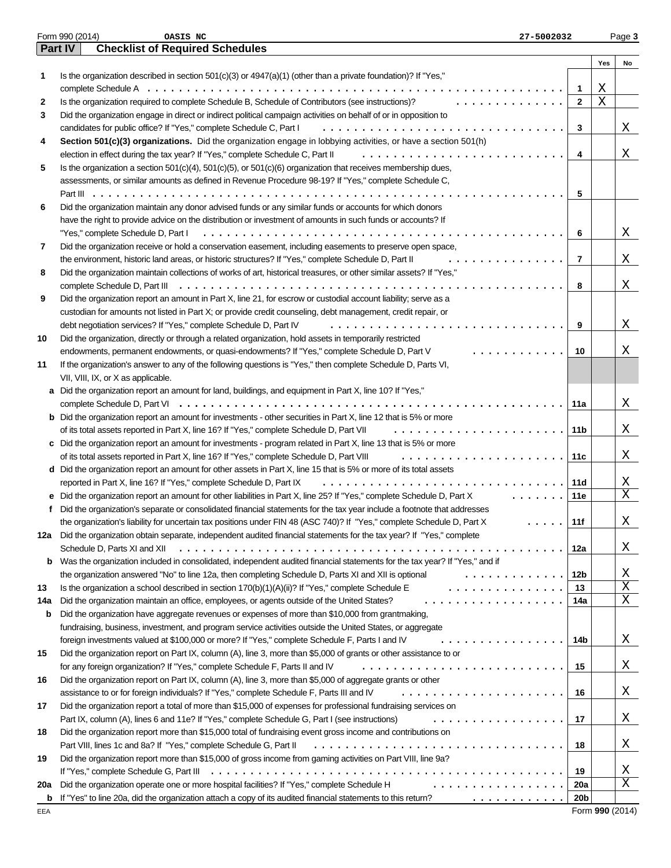| <b>Part IV</b><br><b>Checklist of Required Schedules</b><br>Yes<br>No<br>Is the organization described in section 501(c)(3) or 4947(a)(1) (other than a private foundation)? If "Yes,"<br>1<br>Χ<br>1<br>Χ<br>$\mathbf{2}$<br>Is the organization required to complete Schedule B, Schedule of Contributors (see instructions)?<br>2<br>.<br>Did the organization engage in direct or indirect political campaign activities on behalf of or in opposition to<br>3<br>Χ<br>candidates for public office? If "Yes," complete Schedule C, Part I<br>3<br>Section 501(c)(3) organizations. Did the organization engage in lobbying activities, or have a section 501(h)<br>4<br>X<br>election in effect during the tax year? If "Yes," complete Schedule C, Part II<br>4<br>Is the organization a section 501(c)(4), 501(c)(5), or 501(c)(6) organization that receives membership dues,<br>5<br>assessments, or similar amounts as defined in Revenue Procedure 98-19? If "Yes," complete Schedule C,<br>5<br>Did the organization maintain any donor advised funds or any similar funds or accounts for which donors<br>6<br>have the right to provide advice on the distribution or investment of amounts in such funds or accounts? If<br>Χ<br>"Yes," complete Schedule D, Part I<br>6<br>7<br>Did the organization receive or hold a conservation easement, including easements to preserve open space,<br>Χ<br>the environment, historic land areas, or historic structures? If "Yes," complete Schedule D, Part II<br>7<br>.<br>Did the organization maintain collections of works of art, historical treasures, or other similar assets? If "Yes,"<br>8<br>Χ<br>complete Schedule D, Part III<br>8<br>Did the organization report an amount in Part X, line 21, for escrow or custodial account liability; serve as a<br>9<br>custodian for amounts not listed in Part X; or provide credit counseling, debt management, credit repair, or<br>Χ<br>debt negotiation services? If "Yes," complete Schedule D, Part IV<br>9<br>Did the organization, directly or through a related organization, hold assets in temporarily restricted<br>Χ<br>endowments, permanent endowments, or quasi-endowments? If "Yes," complete Schedule D, Part V<br>10<br>. <b>.</b><br>If the organization's answer to any of the following questions is "Yes," then complete Schedule D, Parts VI,<br>VII, VIII, IX, or X as applicable.<br>Did the organization report an amount for land, buildings, and equipment in Part X, line 10? If "Yes,"<br>a<br>Χ<br>11a<br><b>b</b> Did the organization report an amount for investments - other securities in Part X, line 12 that is 5% or more<br>Χ<br>of its total assets reported in Part X, line 16? If "Yes," complete Schedule D, Part VII<br>11b<br>c Did the organization report an amount for investments - program related in Part X, line 13 that is 5% or more<br>Χ<br>of its total assets reported in Part X, line 16? If "Yes," complete Schedule D, Part VIII<br>11c<br>d Did the organization report an amount for other assets in Part X, line 15 that is 5% or more of its total assets<br>Χ<br>reported in Part X, line 16? If "Yes," complete Schedule D, Part IX<br>11d<br>$\mathbf X$<br>e Did the organization report an amount for other liabilities in Part X, line 25? If "Yes," complete Schedule D, Part X<br>1.1.1.1.1.1<br>11e<br>Did the organization's separate or consolidated financial statements for the tax year include a footnote that addresses<br>Χ<br>the organization's liability for uncertain tax positions under FIN 48 (ASC 740)? If "Yes," complete Schedule D, Part X<br>11f<br>Did the organization obtain separate, independent audited financial statements for the tax year? If "Yes," complete<br>12a<br>X<br>Schedule D, Parts XI and XII<br>12a<br>Was the organization included in consolidated, independent audited financial statements for the tax year? If "Yes," and if<br>b<br>Χ<br>the organization answered "No" to line 12a, then completing Schedule D, Parts XI and XII is optional<br>12b<br>.<br>X<br>Is the organization a school described in section $170(b)(1)(A)(ii)?$ If "Yes," complete Schedule E<br>.<br>13<br>X<br>Did the organization maintain an office, employees, or agents outside of the United States?<br>.<br>14a<br>Did the organization have aggregate revenues or expenses of more than \$10,000 from grantmaking,<br>b<br>fundraising, business, investment, and program service activities outside the United States, or aggregate<br>Χ<br>foreign investments valued at \$100,000 or more? If "Yes," complete Schedule F, Parts I and IV<br>14b<br>.<br>Did the organization report on Part IX, column (A), line 3, more than \$5,000 of grants or other assistance to or<br>X<br>for any foreign organization? If "Yes," complete Schedule F, Parts II and IV<br>15<br>Did the organization report on Part IX, column (A), line 3, more than \$5,000 of aggregate grants or other<br>X<br>assistance to or for foreign individuals? If "Yes," complete Schedule F, Parts III and IV<br>16<br>Did the organization report a total of more than \$15,000 of expenses for professional fundraising services on<br>X<br>Part IX, column (A), lines 6 and 11e? If "Yes," complete Schedule G, Part I (see instructions)<br>17<br>.<br>Did the organization report more than \$15,000 total of fundraising event gross income and contributions on<br>18<br>X<br>Part VIII, lines 1c and 8a? If "Yes," complete Schedule G, Part II<br>18<br>Did the organization report more than \$15,000 of gross income from gaming activities on Part VIII, line 9a?<br>19<br>X<br>19<br>X<br>Did the organization operate one or more hospital facilities? If "Yes," complete Schedule H<br>.<br>20a<br>20a<br>If "Yes" to line 20a, did the organization attach a copy of its audited financial statements to this return?<br>20 <sub>b</sub><br>.<br>b<br>Form 990 (2014)<br>EEA |            | Form 990 (2014)<br>OASIS NC<br>27-5002032 | Page 3 |
|---------------------------------------------------------------------------------------------------------------------------------------------------------------------------------------------------------------------------------------------------------------------------------------------------------------------------------------------------------------------------------------------------------------------------------------------------------------------------------------------------------------------------------------------------------------------------------------------------------------------------------------------------------------------------------------------------------------------------------------------------------------------------------------------------------------------------------------------------------------------------------------------------------------------------------------------------------------------------------------------------------------------------------------------------------------------------------------------------------------------------------------------------------------------------------------------------------------------------------------------------------------------------------------------------------------------------------------------------------------------------------------------------------------------------------------------------------------------------------------------------------------------------------------------------------------------------------------------------------------------------------------------------------------------------------------------------------------------------------------------------------------------------------------------------------------------------------------------------------------------------------------------------------------------------------------------------------------------------------------------------------------------------------------------------------------------------------------------------------------------------------------------------------------------------------------------------------------------------------------------------------------------------------------------------------------------------------------------------------------------------------------------------------------------------------------------------------------------------------------------------------------------------------------------------------------------------------------------------------------------------------------------------------------------------------------------------------------------------------------------------------------------------------------------------------------------------------------------------------------------------------------------------------------------------------------------------------------------------------------------------------------------------------------------------------------------------------------------------------------------------------------------------------------------------------------------------------------------------------------------------------------------------------------------------------------------------------------------------------------------------------------------------------------------------------------------------------------------------------------------------------------------------------------------------------------------------------------------------------------------------------------------------------------------------------------------------------------------------------------------------------------------------------------------------------------------------------------------------------------------------------------------------------------------------------------------------------------------------------------------------------------------------------------------------------------------------------------------------------------------------------------------------------------------------------------------------------------------------------------------------------------------------------------------------------------------------------------------------------------------------------------------------------------------------------------------------------------------------------------------------------------------------------------------------------------------------------------------------------------------------------------------------------------------------------------------------------------------------------------------------------------------------------------------------------------------------------------------------------------------------------------------------------------------------------------------------------------------------------------------------------------------------------------------------------------------------------------------------------------------------------------------------------------------------------------------------------------------------------------------------------------------------------------------------------------------------------------------------------------------------------------------------------------------------------------------------------------------------------------------------------------------------------------------------------------------------------------------------------------------------------------------------------------------------------------------------------------------------------------------------------------------------------------------------------------------------------------------------------------------------------------------------------------------------------------------------------------------------------------------------|------------|-------------------------------------------|--------|
|                                                                                                                                                                                                                                                                                                                                                                                                                                                                                                                                                                                                                                                                                                                                                                                                                                                                                                                                                                                                                                                                                                                                                                                                                                                                                                                                                                                                                                                                                                                                                                                                                                                                                                                                                                                                                                                                                                                                                                                                                                                                                                                                                                                                                                                                                                                                                                                                                                                                                                                                                                                                                                                                                                                                                                                                                                                                                                                                                                                                                                                                                                                                                                                                                                                                                                                                                                                                                                                                                                                                                                                                                                                                                                                                                                                                                                                                                                                                                                                                                                                                                                                                                                                                                                                                                                                                                                                                                                                                                                                                                                                                                                                                                                                                                                                                                                                                                                                                                                                                                                                                                                                                                                                                                                                                                                                                                                                                                                                                                                                                                                                                                                                                                                                                                                                                                                                                                                                                                                                                   |            |                                           |        |
|                                                                                                                                                                                                                                                                                                                                                                                                                                                                                                                                                                                                                                                                                                                                                                                                                                                                                                                                                                                                                                                                                                                                                                                                                                                                                                                                                                                                                                                                                                                                                                                                                                                                                                                                                                                                                                                                                                                                                                                                                                                                                                                                                                                                                                                                                                                                                                                                                                                                                                                                                                                                                                                                                                                                                                                                                                                                                                                                                                                                                                                                                                                                                                                                                                                                                                                                                                                                                                                                                                                                                                                                                                                                                                                                                                                                                                                                                                                                                                                                                                                                                                                                                                                                                                                                                                                                                                                                                                                                                                                                                                                                                                                                                                                                                                                                                                                                                                                                                                                                                                                                                                                                                                                                                                                                                                                                                                                                                                                                                                                                                                                                                                                                                                                                                                                                                                                                                                                                                                                                   |            |                                           |        |
|                                                                                                                                                                                                                                                                                                                                                                                                                                                                                                                                                                                                                                                                                                                                                                                                                                                                                                                                                                                                                                                                                                                                                                                                                                                                                                                                                                                                                                                                                                                                                                                                                                                                                                                                                                                                                                                                                                                                                                                                                                                                                                                                                                                                                                                                                                                                                                                                                                                                                                                                                                                                                                                                                                                                                                                                                                                                                                                                                                                                                                                                                                                                                                                                                                                                                                                                                                                                                                                                                                                                                                                                                                                                                                                                                                                                                                                                                                                                                                                                                                                                                                                                                                                                                                                                                                                                                                                                                                                                                                                                                                                                                                                                                                                                                                                                                                                                                                                                                                                                                                                                                                                                                                                                                                                                                                                                                                                                                                                                                                                                                                                                                                                                                                                                                                                                                                                                                                                                                                                                   |            |                                           |        |
|                                                                                                                                                                                                                                                                                                                                                                                                                                                                                                                                                                                                                                                                                                                                                                                                                                                                                                                                                                                                                                                                                                                                                                                                                                                                                                                                                                                                                                                                                                                                                                                                                                                                                                                                                                                                                                                                                                                                                                                                                                                                                                                                                                                                                                                                                                                                                                                                                                                                                                                                                                                                                                                                                                                                                                                                                                                                                                                                                                                                                                                                                                                                                                                                                                                                                                                                                                                                                                                                                                                                                                                                                                                                                                                                                                                                                                                                                                                                                                                                                                                                                                                                                                                                                                                                                                                                                                                                                                                                                                                                                                                                                                                                                                                                                                                                                                                                                                                                                                                                                                                                                                                                                                                                                                                                                                                                                                                                                                                                                                                                                                                                                                                                                                                                                                                                                                                                                                                                                                                                   |            |                                           |        |
|                                                                                                                                                                                                                                                                                                                                                                                                                                                                                                                                                                                                                                                                                                                                                                                                                                                                                                                                                                                                                                                                                                                                                                                                                                                                                                                                                                                                                                                                                                                                                                                                                                                                                                                                                                                                                                                                                                                                                                                                                                                                                                                                                                                                                                                                                                                                                                                                                                                                                                                                                                                                                                                                                                                                                                                                                                                                                                                                                                                                                                                                                                                                                                                                                                                                                                                                                                                                                                                                                                                                                                                                                                                                                                                                                                                                                                                                                                                                                                                                                                                                                                                                                                                                                                                                                                                                                                                                                                                                                                                                                                                                                                                                                                                                                                                                                                                                                                                                                                                                                                                                                                                                                                                                                                                                                                                                                                                                                                                                                                                                                                                                                                                                                                                                                                                                                                                                                                                                                                                                   |            |                                           |        |
|                                                                                                                                                                                                                                                                                                                                                                                                                                                                                                                                                                                                                                                                                                                                                                                                                                                                                                                                                                                                                                                                                                                                                                                                                                                                                                                                                                                                                                                                                                                                                                                                                                                                                                                                                                                                                                                                                                                                                                                                                                                                                                                                                                                                                                                                                                                                                                                                                                                                                                                                                                                                                                                                                                                                                                                                                                                                                                                                                                                                                                                                                                                                                                                                                                                                                                                                                                                                                                                                                                                                                                                                                                                                                                                                                                                                                                                                                                                                                                                                                                                                                                                                                                                                                                                                                                                                                                                                                                                                                                                                                                                                                                                                                                                                                                                                                                                                                                                                                                                                                                                                                                                                                                                                                                                                                                                                                                                                                                                                                                                                                                                                                                                                                                                                                                                                                                                                                                                                                                                                   |            |                                           |        |
|                                                                                                                                                                                                                                                                                                                                                                                                                                                                                                                                                                                                                                                                                                                                                                                                                                                                                                                                                                                                                                                                                                                                                                                                                                                                                                                                                                                                                                                                                                                                                                                                                                                                                                                                                                                                                                                                                                                                                                                                                                                                                                                                                                                                                                                                                                                                                                                                                                                                                                                                                                                                                                                                                                                                                                                                                                                                                                                                                                                                                                                                                                                                                                                                                                                                                                                                                                                                                                                                                                                                                                                                                                                                                                                                                                                                                                                                                                                                                                                                                                                                                                                                                                                                                                                                                                                                                                                                                                                                                                                                                                                                                                                                                                                                                                                                                                                                                                                                                                                                                                                                                                                                                                                                                                                                                                                                                                                                                                                                                                                                                                                                                                                                                                                                                                                                                                                                                                                                                                                                   |            |                                           |        |
|                                                                                                                                                                                                                                                                                                                                                                                                                                                                                                                                                                                                                                                                                                                                                                                                                                                                                                                                                                                                                                                                                                                                                                                                                                                                                                                                                                                                                                                                                                                                                                                                                                                                                                                                                                                                                                                                                                                                                                                                                                                                                                                                                                                                                                                                                                                                                                                                                                                                                                                                                                                                                                                                                                                                                                                                                                                                                                                                                                                                                                                                                                                                                                                                                                                                                                                                                                                                                                                                                                                                                                                                                                                                                                                                                                                                                                                                                                                                                                                                                                                                                                                                                                                                                                                                                                                                                                                                                                                                                                                                                                                                                                                                                                                                                                                                                                                                                                                                                                                                                                                                                                                                                                                                                                                                                                                                                                                                                                                                                                                                                                                                                                                                                                                                                                                                                                                                                                                                                                                                   |            |                                           |        |
|                                                                                                                                                                                                                                                                                                                                                                                                                                                                                                                                                                                                                                                                                                                                                                                                                                                                                                                                                                                                                                                                                                                                                                                                                                                                                                                                                                                                                                                                                                                                                                                                                                                                                                                                                                                                                                                                                                                                                                                                                                                                                                                                                                                                                                                                                                                                                                                                                                                                                                                                                                                                                                                                                                                                                                                                                                                                                                                                                                                                                                                                                                                                                                                                                                                                                                                                                                                                                                                                                                                                                                                                                                                                                                                                                                                                                                                                                                                                                                                                                                                                                                                                                                                                                                                                                                                                                                                                                                                                                                                                                                                                                                                                                                                                                                                                                                                                                                                                                                                                                                                                                                                                                                                                                                                                                                                                                                                                                                                                                                                                                                                                                                                                                                                                                                                                                                                                                                                                                                                                   |            |                                           |        |
|                                                                                                                                                                                                                                                                                                                                                                                                                                                                                                                                                                                                                                                                                                                                                                                                                                                                                                                                                                                                                                                                                                                                                                                                                                                                                                                                                                                                                                                                                                                                                                                                                                                                                                                                                                                                                                                                                                                                                                                                                                                                                                                                                                                                                                                                                                                                                                                                                                                                                                                                                                                                                                                                                                                                                                                                                                                                                                                                                                                                                                                                                                                                                                                                                                                                                                                                                                                                                                                                                                                                                                                                                                                                                                                                                                                                                                                                                                                                                                                                                                                                                                                                                                                                                                                                                                                                                                                                                                                                                                                                                                                                                                                                                                                                                                                                                                                                                                                                                                                                                                                                                                                                                                                                                                                                                                                                                                                                                                                                                                                                                                                                                                                                                                                                                                                                                                                                                                                                                                                                   |            |                                           |        |
|                                                                                                                                                                                                                                                                                                                                                                                                                                                                                                                                                                                                                                                                                                                                                                                                                                                                                                                                                                                                                                                                                                                                                                                                                                                                                                                                                                                                                                                                                                                                                                                                                                                                                                                                                                                                                                                                                                                                                                                                                                                                                                                                                                                                                                                                                                                                                                                                                                                                                                                                                                                                                                                                                                                                                                                                                                                                                                                                                                                                                                                                                                                                                                                                                                                                                                                                                                                                                                                                                                                                                                                                                                                                                                                                                                                                                                                                                                                                                                                                                                                                                                                                                                                                                                                                                                                                                                                                                                                                                                                                                                                                                                                                                                                                                                                                                                                                                                                                                                                                                                                                                                                                                                                                                                                                                                                                                                                                                                                                                                                                                                                                                                                                                                                                                                                                                                                                                                                                                                                                   |            |                                           |        |
|                                                                                                                                                                                                                                                                                                                                                                                                                                                                                                                                                                                                                                                                                                                                                                                                                                                                                                                                                                                                                                                                                                                                                                                                                                                                                                                                                                                                                                                                                                                                                                                                                                                                                                                                                                                                                                                                                                                                                                                                                                                                                                                                                                                                                                                                                                                                                                                                                                                                                                                                                                                                                                                                                                                                                                                                                                                                                                                                                                                                                                                                                                                                                                                                                                                                                                                                                                                                                                                                                                                                                                                                                                                                                                                                                                                                                                                                                                                                                                                                                                                                                                                                                                                                                                                                                                                                                                                                                                                                                                                                                                                                                                                                                                                                                                                                                                                                                                                                                                                                                                                                                                                                                                                                                                                                                                                                                                                                                                                                                                                                                                                                                                                                                                                                                                                                                                                                                                                                                                                                   |            |                                           |        |
|                                                                                                                                                                                                                                                                                                                                                                                                                                                                                                                                                                                                                                                                                                                                                                                                                                                                                                                                                                                                                                                                                                                                                                                                                                                                                                                                                                                                                                                                                                                                                                                                                                                                                                                                                                                                                                                                                                                                                                                                                                                                                                                                                                                                                                                                                                                                                                                                                                                                                                                                                                                                                                                                                                                                                                                                                                                                                                                                                                                                                                                                                                                                                                                                                                                                                                                                                                                                                                                                                                                                                                                                                                                                                                                                                                                                                                                                                                                                                                                                                                                                                                                                                                                                                                                                                                                                                                                                                                                                                                                                                                                                                                                                                                                                                                                                                                                                                                                                                                                                                                                                                                                                                                                                                                                                                                                                                                                                                                                                                                                                                                                                                                                                                                                                                                                                                                                                                                                                                                                                   |            |                                           |        |
|                                                                                                                                                                                                                                                                                                                                                                                                                                                                                                                                                                                                                                                                                                                                                                                                                                                                                                                                                                                                                                                                                                                                                                                                                                                                                                                                                                                                                                                                                                                                                                                                                                                                                                                                                                                                                                                                                                                                                                                                                                                                                                                                                                                                                                                                                                                                                                                                                                                                                                                                                                                                                                                                                                                                                                                                                                                                                                                                                                                                                                                                                                                                                                                                                                                                                                                                                                                                                                                                                                                                                                                                                                                                                                                                                                                                                                                                                                                                                                                                                                                                                                                                                                                                                                                                                                                                                                                                                                                                                                                                                                                                                                                                                                                                                                                                                                                                                                                                                                                                                                                                                                                                                                                                                                                                                                                                                                                                                                                                                                                                                                                                                                                                                                                                                                                                                                                                                                                                                                                                   |            |                                           |        |
|                                                                                                                                                                                                                                                                                                                                                                                                                                                                                                                                                                                                                                                                                                                                                                                                                                                                                                                                                                                                                                                                                                                                                                                                                                                                                                                                                                                                                                                                                                                                                                                                                                                                                                                                                                                                                                                                                                                                                                                                                                                                                                                                                                                                                                                                                                                                                                                                                                                                                                                                                                                                                                                                                                                                                                                                                                                                                                                                                                                                                                                                                                                                                                                                                                                                                                                                                                                                                                                                                                                                                                                                                                                                                                                                                                                                                                                                                                                                                                                                                                                                                                                                                                                                                                                                                                                                                                                                                                                                                                                                                                                                                                                                                                                                                                                                                                                                                                                                                                                                                                                                                                                                                                                                                                                                                                                                                                                                                                                                                                                                                                                                                                                                                                                                                                                                                                                                                                                                                                                                   |            |                                           |        |
|                                                                                                                                                                                                                                                                                                                                                                                                                                                                                                                                                                                                                                                                                                                                                                                                                                                                                                                                                                                                                                                                                                                                                                                                                                                                                                                                                                                                                                                                                                                                                                                                                                                                                                                                                                                                                                                                                                                                                                                                                                                                                                                                                                                                                                                                                                                                                                                                                                                                                                                                                                                                                                                                                                                                                                                                                                                                                                                                                                                                                                                                                                                                                                                                                                                                                                                                                                                                                                                                                                                                                                                                                                                                                                                                                                                                                                                                                                                                                                                                                                                                                                                                                                                                                                                                                                                                                                                                                                                                                                                                                                                                                                                                                                                                                                                                                                                                                                                                                                                                                                                                                                                                                                                                                                                                                                                                                                                                                                                                                                                                                                                                                                                                                                                                                                                                                                                                                                                                                                                                   |            |                                           |        |
|                                                                                                                                                                                                                                                                                                                                                                                                                                                                                                                                                                                                                                                                                                                                                                                                                                                                                                                                                                                                                                                                                                                                                                                                                                                                                                                                                                                                                                                                                                                                                                                                                                                                                                                                                                                                                                                                                                                                                                                                                                                                                                                                                                                                                                                                                                                                                                                                                                                                                                                                                                                                                                                                                                                                                                                                                                                                                                                                                                                                                                                                                                                                                                                                                                                                                                                                                                                                                                                                                                                                                                                                                                                                                                                                                                                                                                                                                                                                                                                                                                                                                                                                                                                                                                                                                                                                                                                                                                                                                                                                                                                                                                                                                                                                                                                                                                                                                                                                                                                                                                                                                                                                                                                                                                                                                                                                                                                                                                                                                                                                                                                                                                                                                                                                                                                                                                                                                                                                                                                                   |            |                                           |        |
|                                                                                                                                                                                                                                                                                                                                                                                                                                                                                                                                                                                                                                                                                                                                                                                                                                                                                                                                                                                                                                                                                                                                                                                                                                                                                                                                                                                                                                                                                                                                                                                                                                                                                                                                                                                                                                                                                                                                                                                                                                                                                                                                                                                                                                                                                                                                                                                                                                                                                                                                                                                                                                                                                                                                                                                                                                                                                                                                                                                                                                                                                                                                                                                                                                                                                                                                                                                                                                                                                                                                                                                                                                                                                                                                                                                                                                                                                                                                                                                                                                                                                                                                                                                                                                                                                                                                                                                                                                                                                                                                                                                                                                                                                                                                                                                                                                                                                                                                                                                                                                                                                                                                                                                                                                                                                                                                                                                                                                                                                                                                                                                                                                                                                                                                                                                                                                                                                                                                                                                                   |            |                                           |        |
|                                                                                                                                                                                                                                                                                                                                                                                                                                                                                                                                                                                                                                                                                                                                                                                                                                                                                                                                                                                                                                                                                                                                                                                                                                                                                                                                                                                                                                                                                                                                                                                                                                                                                                                                                                                                                                                                                                                                                                                                                                                                                                                                                                                                                                                                                                                                                                                                                                                                                                                                                                                                                                                                                                                                                                                                                                                                                                                                                                                                                                                                                                                                                                                                                                                                                                                                                                                                                                                                                                                                                                                                                                                                                                                                                                                                                                                                                                                                                                                                                                                                                                                                                                                                                                                                                                                                                                                                                                                                                                                                                                                                                                                                                                                                                                                                                                                                                                                                                                                                                                                                                                                                                                                                                                                                                                                                                                                                                                                                                                                                                                                                                                                                                                                                                                                                                                                                                                                                                                                                   |            |                                           |        |
|                                                                                                                                                                                                                                                                                                                                                                                                                                                                                                                                                                                                                                                                                                                                                                                                                                                                                                                                                                                                                                                                                                                                                                                                                                                                                                                                                                                                                                                                                                                                                                                                                                                                                                                                                                                                                                                                                                                                                                                                                                                                                                                                                                                                                                                                                                                                                                                                                                                                                                                                                                                                                                                                                                                                                                                                                                                                                                                                                                                                                                                                                                                                                                                                                                                                                                                                                                                                                                                                                                                                                                                                                                                                                                                                                                                                                                                                                                                                                                                                                                                                                                                                                                                                                                                                                                                                                                                                                                                                                                                                                                                                                                                                                                                                                                                                                                                                                                                                                                                                                                                                                                                                                                                                                                                                                                                                                                                                                                                                                                                                                                                                                                                                                                                                                                                                                                                                                                                                                                                                   |            |                                           |        |
|                                                                                                                                                                                                                                                                                                                                                                                                                                                                                                                                                                                                                                                                                                                                                                                                                                                                                                                                                                                                                                                                                                                                                                                                                                                                                                                                                                                                                                                                                                                                                                                                                                                                                                                                                                                                                                                                                                                                                                                                                                                                                                                                                                                                                                                                                                                                                                                                                                                                                                                                                                                                                                                                                                                                                                                                                                                                                                                                                                                                                                                                                                                                                                                                                                                                                                                                                                                                                                                                                                                                                                                                                                                                                                                                                                                                                                                                                                                                                                                                                                                                                                                                                                                                                                                                                                                                                                                                                                                                                                                                                                                                                                                                                                                                                                                                                                                                                                                                                                                                                                                                                                                                                                                                                                                                                                                                                                                                                                                                                                                                                                                                                                                                                                                                                                                                                                                                                                                                                                                                   |            |                                           |        |
|                                                                                                                                                                                                                                                                                                                                                                                                                                                                                                                                                                                                                                                                                                                                                                                                                                                                                                                                                                                                                                                                                                                                                                                                                                                                                                                                                                                                                                                                                                                                                                                                                                                                                                                                                                                                                                                                                                                                                                                                                                                                                                                                                                                                                                                                                                                                                                                                                                                                                                                                                                                                                                                                                                                                                                                                                                                                                                                                                                                                                                                                                                                                                                                                                                                                                                                                                                                                                                                                                                                                                                                                                                                                                                                                                                                                                                                                                                                                                                                                                                                                                                                                                                                                                                                                                                                                                                                                                                                                                                                                                                                                                                                                                                                                                                                                                                                                                                                                                                                                                                                                                                                                                                                                                                                                                                                                                                                                                                                                                                                                                                                                                                                                                                                                                                                                                                                                                                                                                                                                   |            |                                           |        |
|                                                                                                                                                                                                                                                                                                                                                                                                                                                                                                                                                                                                                                                                                                                                                                                                                                                                                                                                                                                                                                                                                                                                                                                                                                                                                                                                                                                                                                                                                                                                                                                                                                                                                                                                                                                                                                                                                                                                                                                                                                                                                                                                                                                                                                                                                                                                                                                                                                                                                                                                                                                                                                                                                                                                                                                                                                                                                                                                                                                                                                                                                                                                                                                                                                                                                                                                                                                                                                                                                                                                                                                                                                                                                                                                                                                                                                                                                                                                                                                                                                                                                                                                                                                                                                                                                                                                                                                                                                                                                                                                                                                                                                                                                                                                                                                                                                                                                                                                                                                                                                                                                                                                                                                                                                                                                                                                                                                                                                                                                                                                                                                                                                                                                                                                                                                                                                                                                                                                                                                                   |            |                                           |        |
|                                                                                                                                                                                                                                                                                                                                                                                                                                                                                                                                                                                                                                                                                                                                                                                                                                                                                                                                                                                                                                                                                                                                                                                                                                                                                                                                                                                                                                                                                                                                                                                                                                                                                                                                                                                                                                                                                                                                                                                                                                                                                                                                                                                                                                                                                                                                                                                                                                                                                                                                                                                                                                                                                                                                                                                                                                                                                                                                                                                                                                                                                                                                                                                                                                                                                                                                                                                                                                                                                                                                                                                                                                                                                                                                                                                                                                                                                                                                                                                                                                                                                                                                                                                                                                                                                                                                                                                                                                                                                                                                                                                                                                                                                                                                                                                                                                                                                                                                                                                                                                                                                                                                                                                                                                                                                                                                                                                                                                                                                                                                                                                                                                                                                                                                                                                                                                                                                                                                                                                                   | 10         |                                           |        |
|                                                                                                                                                                                                                                                                                                                                                                                                                                                                                                                                                                                                                                                                                                                                                                                                                                                                                                                                                                                                                                                                                                                                                                                                                                                                                                                                                                                                                                                                                                                                                                                                                                                                                                                                                                                                                                                                                                                                                                                                                                                                                                                                                                                                                                                                                                                                                                                                                                                                                                                                                                                                                                                                                                                                                                                                                                                                                                                                                                                                                                                                                                                                                                                                                                                                                                                                                                                                                                                                                                                                                                                                                                                                                                                                                                                                                                                                                                                                                                                                                                                                                                                                                                                                                                                                                                                                                                                                                                                                                                                                                                                                                                                                                                                                                                                                                                                                                                                                                                                                                                                                                                                                                                                                                                                                                                                                                                                                                                                                                                                                                                                                                                                                                                                                                                                                                                                                                                                                                                                                   |            |                                           |        |
|                                                                                                                                                                                                                                                                                                                                                                                                                                                                                                                                                                                                                                                                                                                                                                                                                                                                                                                                                                                                                                                                                                                                                                                                                                                                                                                                                                                                                                                                                                                                                                                                                                                                                                                                                                                                                                                                                                                                                                                                                                                                                                                                                                                                                                                                                                                                                                                                                                                                                                                                                                                                                                                                                                                                                                                                                                                                                                                                                                                                                                                                                                                                                                                                                                                                                                                                                                                                                                                                                                                                                                                                                                                                                                                                                                                                                                                                                                                                                                                                                                                                                                                                                                                                                                                                                                                                                                                                                                                                                                                                                                                                                                                                                                                                                                                                                                                                                                                                                                                                                                                                                                                                                                                                                                                                                                                                                                                                                                                                                                                                                                                                                                                                                                                                                                                                                                                                                                                                                                                                   | 11         |                                           |        |
|                                                                                                                                                                                                                                                                                                                                                                                                                                                                                                                                                                                                                                                                                                                                                                                                                                                                                                                                                                                                                                                                                                                                                                                                                                                                                                                                                                                                                                                                                                                                                                                                                                                                                                                                                                                                                                                                                                                                                                                                                                                                                                                                                                                                                                                                                                                                                                                                                                                                                                                                                                                                                                                                                                                                                                                                                                                                                                                                                                                                                                                                                                                                                                                                                                                                                                                                                                                                                                                                                                                                                                                                                                                                                                                                                                                                                                                                                                                                                                                                                                                                                                                                                                                                                                                                                                                                                                                                                                                                                                                                                                                                                                                                                                                                                                                                                                                                                                                                                                                                                                                                                                                                                                                                                                                                                                                                                                                                                                                                                                                                                                                                                                                                                                                                                                                                                                                                                                                                                                                                   |            |                                           |        |
|                                                                                                                                                                                                                                                                                                                                                                                                                                                                                                                                                                                                                                                                                                                                                                                                                                                                                                                                                                                                                                                                                                                                                                                                                                                                                                                                                                                                                                                                                                                                                                                                                                                                                                                                                                                                                                                                                                                                                                                                                                                                                                                                                                                                                                                                                                                                                                                                                                                                                                                                                                                                                                                                                                                                                                                                                                                                                                                                                                                                                                                                                                                                                                                                                                                                                                                                                                                                                                                                                                                                                                                                                                                                                                                                                                                                                                                                                                                                                                                                                                                                                                                                                                                                                                                                                                                                                                                                                                                                                                                                                                                                                                                                                                                                                                                                                                                                                                                                                                                                                                                                                                                                                                                                                                                                                                                                                                                                                                                                                                                                                                                                                                                                                                                                                                                                                                                                                                                                                                                                   |            |                                           |        |
|                                                                                                                                                                                                                                                                                                                                                                                                                                                                                                                                                                                                                                                                                                                                                                                                                                                                                                                                                                                                                                                                                                                                                                                                                                                                                                                                                                                                                                                                                                                                                                                                                                                                                                                                                                                                                                                                                                                                                                                                                                                                                                                                                                                                                                                                                                                                                                                                                                                                                                                                                                                                                                                                                                                                                                                                                                                                                                                                                                                                                                                                                                                                                                                                                                                                                                                                                                                                                                                                                                                                                                                                                                                                                                                                                                                                                                                                                                                                                                                                                                                                                                                                                                                                                                                                                                                                                                                                                                                                                                                                                                                                                                                                                                                                                                                                                                                                                                                                                                                                                                                                                                                                                                                                                                                                                                                                                                                                                                                                                                                                                                                                                                                                                                                                                                                                                                                                                                                                                                                                   |            |                                           |        |
|                                                                                                                                                                                                                                                                                                                                                                                                                                                                                                                                                                                                                                                                                                                                                                                                                                                                                                                                                                                                                                                                                                                                                                                                                                                                                                                                                                                                                                                                                                                                                                                                                                                                                                                                                                                                                                                                                                                                                                                                                                                                                                                                                                                                                                                                                                                                                                                                                                                                                                                                                                                                                                                                                                                                                                                                                                                                                                                                                                                                                                                                                                                                                                                                                                                                                                                                                                                                                                                                                                                                                                                                                                                                                                                                                                                                                                                                                                                                                                                                                                                                                                                                                                                                                                                                                                                                                                                                                                                                                                                                                                                                                                                                                                                                                                                                                                                                                                                                                                                                                                                                                                                                                                                                                                                                                                                                                                                                                                                                                                                                                                                                                                                                                                                                                                                                                                                                                                                                                                                                   |            |                                           |        |
|                                                                                                                                                                                                                                                                                                                                                                                                                                                                                                                                                                                                                                                                                                                                                                                                                                                                                                                                                                                                                                                                                                                                                                                                                                                                                                                                                                                                                                                                                                                                                                                                                                                                                                                                                                                                                                                                                                                                                                                                                                                                                                                                                                                                                                                                                                                                                                                                                                                                                                                                                                                                                                                                                                                                                                                                                                                                                                                                                                                                                                                                                                                                                                                                                                                                                                                                                                                                                                                                                                                                                                                                                                                                                                                                                                                                                                                                                                                                                                                                                                                                                                                                                                                                                                                                                                                                                                                                                                                                                                                                                                                                                                                                                                                                                                                                                                                                                                                                                                                                                                                                                                                                                                                                                                                                                                                                                                                                                                                                                                                                                                                                                                                                                                                                                                                                                                                                                                                                                                                                   |            |                                           |        |
|                                                                                                                                                                                                                                                                                                                                                                                                                                                                                                                                                                                                                                                                                                                                                                                                                                                                                                                                                                                                                                                                                                                                                                                                                                                                                                                                                                                                                                                                                                                                                                                                                                                                                                                                                                                                                                                                                                                                                                                                                                                                                                                                                                                                                                                                                                                                                                                                                                                                                                                                                                                                                                                                                                                                                                                                                                                                                                                                                                                                                                                                                                                                                                                                                                                                                                                                                                                                                                                                                                                                                                                                                                                                                                                                                                                                                                                                                                                                                                                                                                                                                                                                                                                                                                                                                                                                                                                                                                                                                                                                                                                                                                                                                                                                                                                                                                                                                                                                                                                                                                                                                                                                                                                                                                                                                                                                                                                                                                                                                                                                                                                                                                                                                                                                                                                                                                                                                                                                                                                                   |            |                                           |        |
|                                                                                                                                                                                                                                                                                                                                                                                                                                                                                                                                                                                                                                                                                                                                                                                                                                                                                                                                                                                                                                                                                                                                                                                                                                                                                                                                                                                                                                                                                                                                                                                                                                                                                                                                                                                                                                                                                                                                                                                                                                                                                                                                                                                                                                                                                                                                                                                                                                                                                                                                                                                                                                                                                                                                                                                                                                                                                                                                                                                                                                                                                                                                                                                                                                                                                                                                                                                                                                                                                                                                                                                                                                                                                                                                                                                                                                                                                                                                                                                                                                                                                                                                                                                                                                                                                                                                                                                                                                                                                                                                                                                                                                                                                                                                                                                                                                                                                                                                                                                                                                                                                                                                                                                                                                                                                                                                                                                                                                                                                                                                                                                                                                                                                                                                                                                                                                                                                                                                                                                                   |            |                                           |        |
|                                                                                                                                                                                                                                                                                                                                                                                                                                                                                                                                                                                                                                                                                                                                                                                                                                                                                                                                                                                                                                                                                                                                                                                                                                                                                                                                                                                                                                                                                                                                                                                                                                                                                                                                                                                                                                                                                                                                                                                                                                                                                                                                                                                                                                                                                                                                                                                                                                                                                                                                                                                                                                                                                                                                                                                                                                                                                                                                                                                                                                                                                                                                                                                                                                                                                                                                                                                                                                                                                                                                                                                                                                                                                                                                                                                                                                                                                                                                                                                                                                                                                                                                                                                                                                                                                                                                                                                                                                                                                                                                                                                                                                                                                                                                                                                                                                                                                                                                                                                                                                                                                                                                                                                                                                                                                                                                                                                                                                                                                                                                                                                                                                                                                                                                                                                                                                                                                                                                                                                                   |            |                                           |        |
|                                                                                                                                                                                                                                                                                                                                                                                                                                                                                                                                                                                                                                                                                                                                                                                                                                                                                                                                                                                                                                                                                                                                                                                                                                                                                                                                                                                                                                                                                                                                                                                                                                                                                                                                                                                                                                                                                                                                                                                                                                                                                                                                                                                                                                                                                                                                                                                                                                                                                                                                                                                                                                                                                                                                                                                                                                                                                                                                                                                                                                                                                                                                                                                                                                                                                                                                                                                                                                                                                                                                                                                                                                                                                                                                                                                                                                                                                                                                                                                                                                                                                                                                                                                                                                                                                                                                                                                                                                                                                                                                                                                                                                                                                                                                                                                                                                                                                                                                                                                                                                                                                                                                                                                                                                                                                                                                                                                                                                                                                                                                                                                                                                                                                                                                                                                                                                                                                                                                                                                                   |            |                                           |        |
|                                                                                                                                                                                                                                                                                                                                                                                                                                                                                                                                                                                                                                                                                                                                                                                                                                                                                                                                                                                                                                                                                                                                                                                                                                                                                                                                                                                                                                                                                                                                                                                                                                                                                                                                                                                                                                                                                                                                                                                                                                                                                                                                                                                                                                                                                                                                                                                                                                                                                                                                                                                                                                                                                                                                                                                                                                                                                                                                                                                                                                                                                                                                                                                                                                                                                                                                                                                                                                                                                                                                                                                                                                                                                                                                                                                                                                                                                                                                                                                                                                                                                                                                                                                                                                                                                                                                                                                                                                                                                                                                                                                                                                                                                                                                                                                                                                                                                                                                                                                                                                                                                                                                                                                                                                                                                                                                                                                                                                                                                                                                                                                                                                                                                                                                                                                                                                                                                                                                                                                                   |            |                                           |        |
|                                                                                                                                                                                                                                                                                                                                                                                                                                                                                                                                                                                                                                                                                                                                                                                                                                                                                                                                                                                                                                                                                                                                                                                                                                                                                                                                                                                                                                                                                                                                                                                                                                                                                                                                                                                                                                                                                                                                                                                                                                                                                                                                                                                                                                                                                                                                                                                                                                                                                                                                                                                                                                                                                                                                                                                                                                                                                                                                                                                                                                                                                                                                                                                                                                                                                                                                                                                                                                                                                                                                                                                                                                                                                                                                                                                                                                                                                                                                                                                                                                                                                                                                                                                                                                                                                                                                                                                                                                                                                                                                                                                                                                                                                                                                                                                                                                                                                                                                                                                                                                                                                                                                                                                                                                                                                                                                                                                                                                                                                                                                                                                                                                                                                                                                                                                                                                                                                                                                                                                                   |            |                                           |        |
|                                                                                                                                                                                                                                                                                                                                                                                                                                                                                                                                                                                                                                                                                                                                                                                                                                                                                                                                                                                                                                                                                                                                                                                                                                                                                                                                                                                                                                                                                                                                                                                                                                                                                                                                                                                                                                                                                                                                                                                                                                                                                                                                                                                                                                                                                                                                                                                                                                                                                                                                                                                                                                                                                                                                                                                                                                                                                                                                                                                                                                                                                                                                                                                                                                                                                                                                                                                                                                                                                                                                                                                                                                                                                                                                                                                                                                                                                                                                                                                                                                                                                                                                                                                                                                                                                                                                                                                                                                                                                                                                                                                                                                                                                                                                                                                                                                                                                                                                                                                                                                                                                                                                                                                                                                                                                                                                                                                                                                                                                                                                                                                                                                                                                                                                                                                                                                                                                                                                                                                                   |            |                                           |        |
|                                                                                                                                                                                                                                                                                                                                                                                                                                                                                                                                                                                                                                                                                                                                                                                                                                                                                                                                                                                                                                                                                                                                                                                                                                                                                                                                                                                                                                                                                                                                                                                                                                                                                                                                                                                                                                                                                                                                                                                                                                                                                                                                                                                                                                                                                                                                                                                                                                                                                                                                                                                                                                                                                                                                                                                                                                                                                                                                                                                                                                                                                                                                                                                                                                                                                                                                                                                                                                                                                                                                                                                                                                                                                                                                                                                                                                                                                                                                                                                                                                                                                                                                                                                                                                                                                                                                                                                                                                                                                                                                                                                                                                                                                                                                                                                                                                                                                                                                                                                                                                                                                                                                                                                                                                                                                                                                                                                                                                                                                                                                                                                                                                                                                                                                                                                                                                                                                                                                                                                                   |            |                                           |        |
|                                                                                                                                                                                                                                                                                                                                                                                                                                                                                                                                                                                                                                                                                                                                                                                                                                                                                                                                                                                                                                                                                                                                                                                                                                                                                                                                                                                                                                                                                                                                                                                                                                                                                                                                                                                                                                                                                                                                                                                                                                                                                                                                                                                                                                                                                                                                                                                                                                                                                                                                                                                                                                                                                                                                                                                                                                                                                                                                                                                                                                                                                                                                                                                                                                                                                                                                                                                                                                                                                                                                                                                                                                                                                                                                                                                                                                                                                                                                                                                                                                                                                                                                                                                                                                                                                                                                                                                                                                                                                                                                                                                                                                                                                                                                                                                                                                                                                                                                                                                                                                                                                                                                                                                                                                                                                                                                                                                                                                                                                                                                                                                                                                                                                                                                                                                                                                                                                                                                                                                                   |            |                                           |        |
|                                                                                                                                                                                                                                                                                                                                                                                                                                                                                                                                                                                                                                                                                                                                                                                                                                                                                                                                                                                                                                                                                                                                                                                                                                                                                                                                                                                                                                                                                                                                                                                                                                                                                                                                                                                                                                                                                                                                                                                                                                                                                                                                                                                                                                                                                                                                                                                                                                                                                                                                                                                                                                                                                                                                                                                                                                                                                                                                                                                                                                                                                                                                                                                                                                                                                                                                                                                                                                                                                                                                                                                                                                                                                                                                                                                                                                                                                                                                                                                                                                                                                                                                                                                                                                                                                                                                                                                                                                                                                                                                                                                                                                                                                                                                                                                                                                                                                                                                                                                                                                                                                                                                                                                                                                                                                                                                                                                                                                                                                                                                                                                                                                                                                                                                                                                                                                                                                                                                                                                                   |            |                                           |        |
|                                                                                                                                                                                                                                                                                                                                                                                                                                                                                                                                                                                                                                                                                                                                                                                                                                                                                                                                                                                                                                                                                                                                                                                                                                                                                                                                                                                                                                                                                                                                                                                                                                                                                                                                                                                                                                                                                                                                                                                                                                                                                                                                                                                                                                                                                                                                                                                                                                                                                                                                                                                                                                                                                                                                                                                                                                                                                                                                                                                                                                                                                                                                                                                                                                                                                                                                                                                                                                                                                                                                                                                                                                                                                                                                                                                                                                                                                                                                                                                                                                                                                                                                                                                                                                                                                                                                                                                                                                                                                                                                                                                                                                                                                                                                                                                                                                                                                                                                                                                                                                                                                                                                                                                                                                                                                                                                                                                                                                                                                                                                                                                                                                                                                                                                                                                                                                                                                                                                                                                                   |            |                                           |        |
|                                                                                                                                                                                                                                                                                                                                                                                                                                                                                                                                                                                                                                                                                                                                                                                                                                                                                                                                                                                                                                                                                                                                                                                                                                                                                                                                                                                                                                                                                                                                                                                                                                                                                                                                                                                                                                                                                                                                                                                                                                                                                                                                                                                                                                                                                                                                                                                                                                                                                                                                                                                                                                                                                                                                                                                                                                                                                                                                                                                                                                                                                                                                                                                                                                                                                                                                                                                                                                                                                                                                                                                                                                                                                                                                                                                                                                                                                                                                                                                                                                                                                                                                                                                                                                                                                                                                                                                                                                                                                                                                                                                                                                                                                                                                                                                                                                                                                                                                                                                                                                                                                                                                                                                                                                                                                                                                                                                                                                                                                                                                                                                                                                                                                                                                                                                                                                                                                                                                                                                                   |            |                                           |        |
|                                                                                                                                                                                                                                                                                                                                                                                                                                                                                                                                                                                                                                                                                                                                                                                                                                                                                                                                                                                                                                                                                                                                                                                                                                                                                                                                                                                                                                                                                                                                                                                                                                                                                                                                                                                                                                                                                                                                                                                                                                                                                                                                                                                                                                                                                                                                                                                                                                                                                                                                                                                                                                                                                                                                                                                                                                                                                                                                                                                                                                                                                                                                                                                                                                                                                                                                                                                                                                                                                                                                                                                                                                                                                                                                                                                                                                                                                                                                                                                                                                                                                                                                                                                                                                                                                                                                                                                                                                                                                                                                                                                                                                                                                                                                                                                                                                                                                                                                                                                                                                                                                                                                                                                                                                                                                                                                                                                                                                                                                                                                                                                                                                                                                                                                                                                                                                                                                                                                                                                                   | 13         |                                           |        |
|                                                                                                                                                                                                                                                                                                                                                                                                                                                                                                                                                                                                                                                                                                                                                                                                                                                                                                                                                                                                                                                                                                                                                                                                                                                                                                                                                                                                                                                                                                                                                                                                                                                                                                                                                                                                                                                                                                                                                                                                                                                                                                                                                                                                                                                                                                                                                                                                                                                                                                                                                                                                                                                                                                                                                                                                                                                                                                                                                                                                                                                                                                                                                                                                                                                                                                                                                                                                                                                                                                                                                                                                                                                                                                                                                                                                                                                                                                                                                                                                                                                                                                                                                                                                                                                                                                                                                                                                                                                                                                                                                                                                                                                                                                                                                                                                                                                                                                                                                                                                                                                                                                                                                                                                                                                                                                                                                                                                                                                                                                                                                                                                                                                                                                                                                                                                                                                                                                                                                                                                   | 14a        |                                           |        |
|                                                                                                                                                                                                                                                                                                                                                                                                                                                                                                                                                                                                                                                                                                                                                                                                                                                                                                                                                                                                                                                                                                                                                                                                                                                                                                                                                                                                                                                                                                                                                                                                                                                                                                                                                                                                                                                                                                                                                                                                                                                                                                                                                                                                                                                                                                                                                                                                                                                                                                                                                                                                                                                                                                                                                                                                                                                                                                                                                                                                                                                                                                                                                                                                                                                                                                                                                                                                                                                                                                                                                                                                                                                                                                                                                                                                                                                                                                                                                                                                                                                                                                                                                                                                                                                                                                                                                                                                                                                                                                                                                                                                                                                                                                                                                                                                                                                                                                                                                                                                                                                                                                                                                                                                                                                                                                                                                                                                                                                                                                                                                                                                                                                                                                                                                                                                                                                                                                                                                                                                   |            |                                           |        |
|                                                                                                                                                                                                                                                                                                                                                                                                                                                                                                                                                                                                                                                                                                                                                                                                                                                                                                                                                                                                                                                                                                                                                                                                                                                                                                                                                                                                                                                                                                                                                                                                                                                                                                                                                                                                                                                                                                                                                                                                                                                                                                                                                                                                                                                                                                                                                                                                                                                                                                                                                                                                                                                                                                                                                                                                                                                                                                                                                                                                                                                                                                                                                                                                                                                                                                                                                                                                                                                                                                                                                                                                                                                                                                                                                                                                                                                                                                                                                                                                                                                                                                                                                                                                                                                                                                                                                                                                                                                                                                                                                                                                                                                                                                                                                                                                                                                                                                                                                                                                                                                                                                                                                                                                                                                                                                                                                                                                                                                                                                                                                                                                                                                                                                                                                                                                                                                                                                                                                                                                   |            |                                           |        |
|                                                                                                                                                                                                                                                                                                                                                                                                                                                                                                                                                                                                                                                                                                                                                                                                                                                                                                                                                                                                                                                                                                                                                                                                                                                                                                                                                                                                                                                                                                                                                                                                                                                                                                                                                                                                                                                                                                                                                                                                                                                                                                                                                                                                                                                                                                                                                                                                                                                                                                                                                                                                                                                                                                                                                                                                                                                                                                                                                                                                                                                                                                                                                                                                                                                                                                                                                                                                                                                                                                                                                                                                                                                                                                                                                                                                                                                                                                                                                                                                                                                                                                                                                                                                                                                                                                                                                                                                                                                                                                                                                                                                                                                                                                                                                                                                                                                                                                                                                                                                                                                                                                                                                                                                                                                                                                                                                                                                                                                                                                                                                                                                                                                                                                                                                                                                                                                                                                                                                                                                   |            |                                           |        |
|                                                                                                                                                                                                                                                                                                                                                                                                                                                                                                                                                                                                                                                                                                                                                                                                                                                                                                                                                                                                                                                                                                                                                                                                                                                                                                                                                                                                                                                                                                                                                                                                                                                                                                                                                                                                                                                                                                                                                                                                                                                                                                                                                                                                                                                                                                                                                                                                                                                                                                                                                                                                                                                                                                                                                                                                                                                                                                                                                                                                                                                                                                                                                                                                                                                                                                                                                                                                                                                                                                                                                                                                                                                                                                                                                                                                                                                                                                                                                                                                                                                                                                                                                                                                                                                                                                                                                                                                                                                                                                                                                                                                                                                                                                                                                                                                                                                                                                                                                                                                                                                                                                                                                                                                                                                                                                                                                                                                                                                                                                                                                                                                                                                                                                                                                                                                                                                                                                                                                                                                   | 15         |                                           |        |
|                                                                                                                                                                                                                                                                                                                                                                                                                                                                                                                                                                                                                                                                                                                                                                                                                                                                                                                                                                                                                                                                                                                                                                                                                                                                                                                                                                                                                                                                                                                                                                                                                                                                                                                                                                                                                                                                                                                                                                                                                                                                                                                                                                                                                                                                                                                                                                                                                                                                                                                                                                                                                                                                                                                                                                                                                                                                                                                                                                                                                                                                                                                                                                                                                                                                                                                                                                                                                                                                                                                                                                                                                                                                                                                                                                                                                                                                                                                                                                                                                                                                                                                                                                                                                                                                                                                                                                                                                                                                                                                                                                                                                                                                                                                                                                                                                                                                                                                                                                                                                                                                                                                                                                                                                                                                                                                                                                                                                                                                                                                                                                                                                                                                                                                                                                                                                                                                                                                                                                                                   |            |                                           |        |
|                                                                                                                                                                                                                                                                                                                                                                                                                                                                                                                                                                                                                                                                                                                                                                                                                                                                                                                                                                                                                                                                                                                                                                                                                                                                                                                                                                                                                                                                                                                                                                                                                                                                                                                                                                                                                                                                                                                                                                                                                                                                                                                                                                                                                                                                                                                                                                                                                                                                                                                                                                                                                                                                                                                                                                                                                                                                                                                                                                                                                                                                                                                                                                                                                                                                                                                                                                                                                                                                                                                                                                                                                                                                                                                                                                                                                                                                                                                                                                                                                                                                                                                                                                                                                                                                                                                                                                                                                                                                                                                                                                                                                                                                                                                                                                                                                                                                                                                                                                                                                                                                                                                                                                                                                                                                                                                                                                                                                                                                                                                                                                                                                                                                                                                                                                                                                                                                                                                                                                                                   | ${\bf 16}$ |                                           |        |
|                                                                                                                                                                                                                                                                                                                                                                                                                                                                                                                                                                                                                                                                                                                                                                                                                                                                                                                                                                                                                                                                                                                                                                                                                                                                                                                                                                                                                                                                                                                                                                                                                                                                                                                                                                                                                                                                                                                                                                                                                                                                                                                                                                                                                                                                                                                                                                                                                                                                                                                                                                                                                                                                                                                                                                                                                                                                                                                                                                                                                                                                                                                                                                                                                                                                                                                                                                                                                                                                                                                                                                                                                                                                                                                                                                                                                                                                                                                                                                                                                                                                                                                                                                                                                                                                                                                                                                                                                                                                                                                                                                                                                                                                                                                                                                                                                                                                                                                                                                                                                                                                                                                                                                                                                                                                                                                                                                                                                                                                                                                                                                                                                                                                                                                                                                                                                                                                                                                                                                                                   |            |                                           |        |
|                                                                                                                                                                                                                                                                                                                                                                                                                                                                                                                                                                                                                                                                                                                                                                                                                                                                                                                                                                                                                                                                                                                                                                                                                                                                                                                                                                                                                                                                                                                                                                                                                                                                                                                                                                                                                                                                                                                                                                                                                                                                                                                                                                                                                                                                                                                                                                                                                                                                                                                                                                                                                                                                                                                                                                                                                                                                                                                                                                                                                                                                                                                                                                                                                                                                                                                                                                                                                                                                                                                                                                                                                                                                                                                                                                                                                                                                                                                                                                                                                                                                                                                                                                                                                                                                                                                                                                                                                                                                                                                                                                                                                                                                                                                                                                                                                                                                                                                                                                                                                                                                                                                                                                                                                                                                                                                                                                                                                                                                                                                                                                                                                                                                                                                                                                                                                                                                                                                                                                                                   | 17         |                                           |        |
|                                                                                                                                                                                                                                                                                                                                                                                                                                                                                                                                                                                                                                                                                                                                                                                                                                                                                                                                                                                                                                                                                                                                                                                                                                                                                                                                                                                                                                                                                                                                                                                                                                                                                                                                                                                                                                                                                                                                                                                                                                                                                                                                                                                                                                                                                                                                                                                                                                                                                                                                                                                                                                                                                                                                                                                                                                                                                                                                                                                                                                                                                                                                                                                                                                                                                                                                                                                                                                                                                                                                                                                                                                                                                                                                                                                                                                                                                                                                                                                                                                                                                                                                                                                                                                                                                                                                                                                                                                                                                                                                                                                                                                                                                                                                                                                                                                                                                                                                                                                                                                                                                                                                                                                                                                                                                                                                                                                                                                                                                                                                                                                                                                                                                                                                                                                                                                                                                                                                                                                                   |            |                                           |        |
|                                                                                                                                                                                                                                                                                                                                                                                                                                                                                                                                                                                                                                                                                                                                                                                                                                                                                                                                                                                                                                                                                                                                                                                                                                                                                                                                                                                                                                                                                                                                                                                                                                                                                                                                                                                                                                                                                                                                                                                                                                                                                                                                                                                                                                                                                                                                                                                                                                                                                                                                                                                                                                                                                                                                                                                                                                                                                                                                                                                                                                                                                                                                                                                                                                                                                                                                                                                                                                                                                                                                                                                                                                                                                                                                                                                                                                                                                                                                                                                                                                                                                                                                                                                                                                                                                                                                                                                                                                                                                                                                                                                                                                                                                                                                                                                                                                                                                                                                                                                                                                                                                                                                                                                                                                                                                                                                                                                                                                                                                                                                                                                                                                                                                                                                                                                                                                                                                                                                                                                                   |            |                                           |        |
|                                                                                                                                                                                                                                                                                                                                                                                                                                                                                                                                                                                                                                                                                                                                                                                                                                                                                                                                                                                                                                                                                                                                                                                                                                                                                                                                                                                                                                                                                                                                                                                                                                                                                                                                                                                                                                                                                                                                                                                                                                                                                                                                                                                                                                                                                                                                                                                                                                                                                                                                                                                                                                                                                                                                                                                                                                                                                                                                                                                                                                                                                                                                                                                                                                                                                                                                                                                                                                                                                                                                                                                                                                                                                                                                                                                                                                                                                                                                                                                                                                                                                                                                                                                                                                                                                                                                                                                                                                                                                                                                                                                                                                                                                                                                                                                                                                                                                                                                                                                                                                                                                                                                                                                                                                                                                                                                                                                                                                                                                                                                                                                                                                                                                                                                                                                                                                                                                                                                                                                                   |            |                                           |        |
|                                                                                                                                                                                                                                                                                                                                                                                                                                                                                                                                                                                                                                                                                                                                                                                                                                                                                                                                                                                                                                                                                                                                                                                                                                                                                                                                                                                                                                                                                                                                                                                                                                                                                                                                                                                                                                                                                                                                                                                                                                                                                                                                                                                                                                                                                                                                                                                                                                                                                                                                                                                                                                                                                                                                                                                                                                                                                                                                                                                                                                                                                                                                                                                                                                                                                                                                                                                                                                                                                                                                                                                                                                                                                                                                                                                                                                                                                                                                                                                                                                                                                                                                                                                                                                                                                                                                                                                                                                                                                                                                                                                                                                                                                                                                                                                                                                                                                                                                                                                                                                                                                                                                                                                                                                                                                                                                                                                                                                                                                                                                                                                                                                                                                                                                                                                                                                                                                                                                                                                                   |            |                                           |        |
|                                                                                                                                                                                                                                                                                                                                                                                                                                                                                                                                                                                                                                                                                                                                                                                                                                                                                                                                                                                                                                                                                                                                                                                                                                                                                                                                                                                                                                                                                                                                                                                                                                                                                                                                                                                                                                                                                                                                                                                                                                                                                                                                                                                                                                                                                                                                                                                                                                                                                                                                                                                                                                                                                                                                                                                                                                                                                                                                                                                                                                                                                                                                                                                                                                                                                                                                                                                                                                                                                                                                                                                                                                                                                                                                                                                                                                                                                                                                                                                                                                                                                                                                                                                                                                                                                                                                                                                                                                                                                                                                                                                                                                                                                                                                                                                                                                                                                                                                                                                                                                                                                                                                                                                                                                                                                                                                                                                                                                                                                                                                                                                                                                                                                                                                                                                                                                                                                                                                                                                                   |            |                                           |        |
|                                                                                                                                                                                                                                                                                                                                                                                                                                                                                                                                                                                                                                                                                                                                                                                                                                                                                                                                                                                                                                                                                                                                                                                                                                                                                                                                                                                                                                                                                                                                                                                                                                                                                                                                                                                                                                                                                                                                                                                                                                                                                                                                                                                                                                                                                                                                                                                                                                                                                                                                                                                                                                                                                                                                                                                                                                                                                                                                                                                                                                                                                                                                                                                                                                                                                                                                                                                                                                                                                                                                                                                                                                                                                                                                                                                                                                                                                                                                                                                                                                                                                                                                                                                                                                                                                                                                                                                                                                                                                                                                                                                                                                                                                                                                                                                                                                                                                                                                                                                                                                                                                                                                                                                                                                                                                                                                                                                                                                                                                                                                                                                                                                                                                                                                                                                                                                                                                                                                                                                                   |            |                                           |        |
|                                                                                                                                                                                                                                                                                                                                                                                                                                                                                                                                                                                                                                                                                                                                                                                                                                                                                                                                                                                                                                                                                                                                                                                                                                                                                                                                                                                                                                                                                                                                                                                                                                                                                                                                                                                                                                                                                                                                                                                                                                                                                                                                                                                                                                                                                                                                                                                                                                                                                                                                                                                                                                                                                                                                                                                                                                                                                                                                                                                                                                                                                                                                                                                                                                                                                                                                                                                                                                                                                                                                                                                                                                                                                                                                                                                                                                                                                                                                                                                                                                                                                                                                                                                                                                                                                                                                                                                                                                                                                                                                                                                                                                                                                                                                                                                                                                                                                                                                                                                                                                                                                                                                                                                                                                                                                                                                                                                                                                                                                                                                                                                                                                                                                                                                                                                                                                                                                                                                                                                                   |            |                                           |        |
|                                                                                                                                                                                                                                                                                                                                                                                                                                                                                                                                                                                                                                                                                                                                                                                                                                                                                                                                                                                                                                                                                                                                                                                                                                                                                                                                                                                                                                                                                                                                                                                                                                                                                                                                                                                                                                                                                                                                                                                                                                                                                                                                                                                                                                                                                                                                                                                                                                                                                                                                                                                                                                                                                                                                                                                                                                                                                                                                                                                                                                                                                                                                                                                                                                                                                                                                                                                                                                                                                                                                                                                                                                                                                                                                                                                                                                                                                                                                                                                                                                                                                                                                                                                                                                                                                                                                                                                                                                                                                                                                                                                                                                                                                                                                                                                                                                                                                                                                                                                                                                                                                                                                                                                                                                                                                                                                                                                                                                                                                                                                                                                                                                                                                                                                                                                                                                                                                                                                                                                                   |            |                                           |        |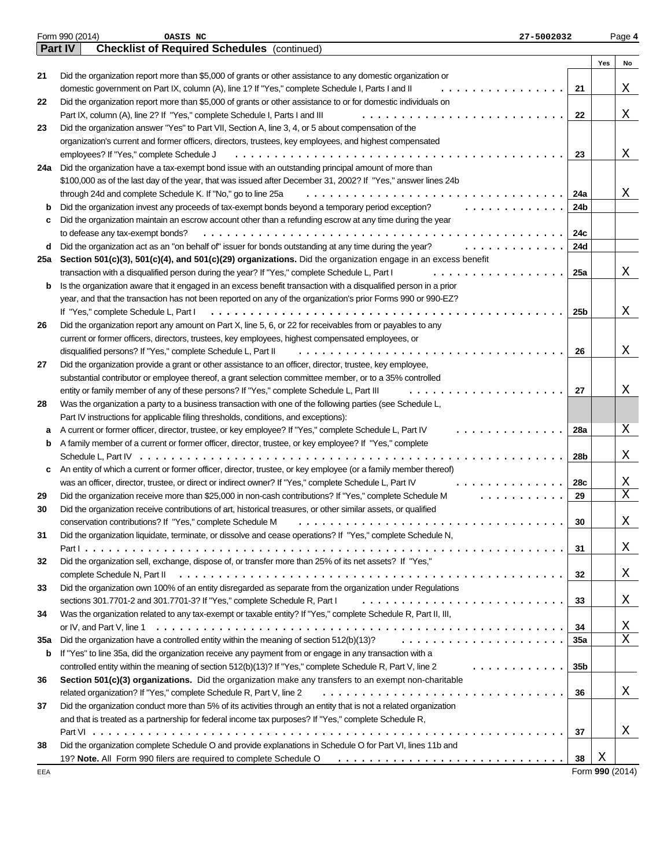|     | Form 990 (2014)<br>OASIS NC<br>27-5002032                                                                                                                                                                                 |            |                 | Page 4 |
|-----|---------------------------------------------------------------------------------------------------------------------------------------------------------------------------------------------------------------------------|------------|-----------------|--------|
|     | <b>Checklist of Required Schedules</b> (continued)<br><b>Part IV</b>                                                                                                                                                      |            |                 |        |
|     |                                                                                                                                                                                                                           |            | Yes             | No     |
| 21  | Did the organization report more than \$5,000 of grants or other assistance to any domestic organization or                                                                                                               |            |                 |        |
|     | domestic government on Part IX, column (A), line 1? If "Yes," complete Schedule I, Parts I and II                                                                                                                         | 21         |                 | Χ      |
| 22  | Did the organization report more than \$5,000 of grants or other assistance to or for domestic individuals on                                                                                                             |            |                 |        |
|     | Part IX, column (A), line 2? If "Yes," complete Schedule I, Parts I and III                                                                                                                                               | 22         |                 | Χ      |
| 23  | Did the organization answer "Yes" to Part VII, Section A, line 3, 4, or 5 about compensation of the                                                                                                                       |            |                 |        |
|     | organization's current and former officers, directors, trustees, key employees, and highest compensated                                                                                                                   |            |                 |        |
|     | employees? If "Yes," complete Schedule J<br>$\cdot$                                                                                                                                                                       | 23         |                 | Χ      |
| 24a | Did the organization have a tax-exempt bond issue with an outstanding principal amount of more than                                                                                                                       |            |                 |        |
|     | \$100,000 as of the last day of the year, that was issued after December 31, 2002? If "Yes," answer lines 24b                                                                                                             |            |                 |        |
|     | through 24d and complete Schedule K. If "No," go to line 25a                                                                                                                                                              | 24a        |                 | Χ      |
| b   | Did the organization invest any proceeds of tax-exempt bonds beyond a temporary period exception?                                                                                                                         | 24b        |                 |        |
| c   | Did the organization maintain an escrow account other than a refunding escrow at any time during the year                                                                                                                 |            |                 |        |
|     | to defease any tax-exempt bonds?<br>.<br>.                                                                                                                                                                                | 24c        |                 |        |
| d   | Did the organization act as an "on behalf of" issuer for bonds outstanding at any time during the year?                                                                                                                   | 24d        |                 |        |
| 25a | Section 501(c)(3), 501(c)(4), and 501(c)(29) organizations. Did the organization engage in an excess benefit                                                                                                              |            |                 |        |
|     | transaction with a disqualified person during the year? If "Yes," complete Schedule L, Part I                                                                                                                             | 25a        |                 | Χ      |
| b   | Is the organization aware that it engaged in an excess benefit transaction with a disqualified person in a prior                                                                                                          |            |                 |        |
|     | year, and that the transaction has not been reported on any of the organization's prior Forms 990 or 990-EZ?                                                                                                              |            |                 |        |
|     | If "Yes," complete Schedule L, Part I                                                                                                                                                                                     | 25b        |                 | Χ      |
| 26  | Did the organization report any amount on Part X, line 5, 6, or 22 for receivables from or payables to any                                                                                                                |            |                 |        |
|     | current or former officers, directors, trustees, key employees, highest compensated employees, or                                                                                                                         |            |                 |        |
|     | disqualified persons? If "Yes," complete Schedule L, Part II                                                                                                                                                              | 26         |                 | X      |
| 27  | Did the organization provide a grant or other assistance to an officer, director, trustee, key employee,                                                                                                                  |            |                 |        |
|     | substantial contributor or employee thereof, a grant selection committee member, or to a 35% controlled                                                                                                                   |            |                 |        |
|     | entity or family member of any of these persons? If "Yes," complete Schedule L, Part III                                                                                                                                  | 27         |                 | Χ      |
| 28  | Was the organization a party to a business transaction with one of the following parties (see Schedule L,                                                                                                                 |            |                 |        |
|     | Part IV instructions for applicable filing thresholds, conditions, and exceptions):                                                                                                                                       |            |                 |        |
| а   | A current or former officer, director, trustee, or key employee? If "Yes," complete Schedule L, Part IV                                                                                                                   | 28a        |                 | Χ      |
| b   | A family member of a current or former officer, director, trustee, or key employee? If "Yes," complete                                                                                                                    |            |                 |        |
|     | Schedule L, Part IV $\ldots \ldots$                                                                                                                                                                                       | 28b        |                 | Χ      |
| c   | An entity of which a current or former officer, director, trustee, or key employee (or a family member thereof)                                                                                                           |            |                 |        |
|     | was an officer, director, trustee, or direct or indirect owner? If "Yes," complete Schedule L, Part IV                                                                                                                    | 28c        |                 | Χ      |
| 29  | Did the organization receive more than \$25,000 in non-cash contributions? If "Yes," complete Schedule M                                                                                                                  | 29         |                 | Χ      |
| 30  | Did the organization receive contributions of art, historical treasures, or other similar assets, or qualified                                                                                                            |            |                 |        |
|     | conservation contributions? If "Yes," complete Schedule M                                                                                                                                                                 | 30         |                 | Χ      |
| 31  | Did the organization liquidate, terminate, or dissolve and cease operations? If "Yes," complete Schedule N,                                                                                                               |            |                 |        |
|     |                                                                                                                                                                                                                           | 31         |                 | Χ      |
| 32  | Did the organization sell, exchange, dispose of, or transfer more than 25% of its net assets? If "Yes,"                                                                                                                   |            |                 |        |
|     | Did the organization own 100% of an entity disregarded as separate from the organization under Regulations                                                                                                                | 32         |                 | Χ      |
| 33  |                                                                                                                                                                                                                           |            |                 | Χ      |
|     | sections 301.7701-2 and 301.7701-3? If "Yes," complete Schedule R, Part I                                                                                                                                                 | 33         |                 |        |
| 34  | Was the organization related to any tax-exempt or taxable entity? If "Yes," complete Schedule R, Part II, III,                                                                                                            |            |                 | Χ      |
|     |                                                                                                                                                                                                                           | 34         |                 | X      |
| 35a | Did the organization have a controlled entity within the meaning of section 512(b)(13)?                                                                                                                                   | <b>35a</b> |                 |        |
| b   | If "Yes" to line 35a, did the organization receive any payment from or engage in any transaction with a<br>controlled entity within the meaning of section 512(b)(13)? If "Yes," complete Schedule R, Part V, line 2<br>. |            |                 |        |
|     |                                                                                                                                                                                                                           | 35b        |                 |        |
| 36  | Section 501(c)(3) organizations. Did the organization make any transfers to an exempt non-charitable<br>related organization? If "Yes," complete Schedule R, Part V, line 2                                               |            |                 | X      |
|     | Did the organization conduct more than 5% of its activities through an entity that is not a related organization                                                                                                          | 36         |                 |        |
| 37  | and that is treated as a partnership for federal income tax purposes? If "Yes," complete Schedule R,                                                                                                                      |            |                 |        |
|     |                                                                                                                                                                                                                           | 37         |                 | Χ      |
| 38  | Did the organization complete Schedule O and provide explanations in Schedule O for Part VI, lines 11b and                                                                                                                |            |                 |        |
|     | 19? Note. All Form 990 filers are required to complete Schedule O                                                                                                                                                         | 38         | Χ               |        |
| EEA |                                                                                                                                                                                                                           |            | Form 990 (2014) |        |
|     |                                                                                                                                                                                                                           |            |                 |        |

Form **990** (2014)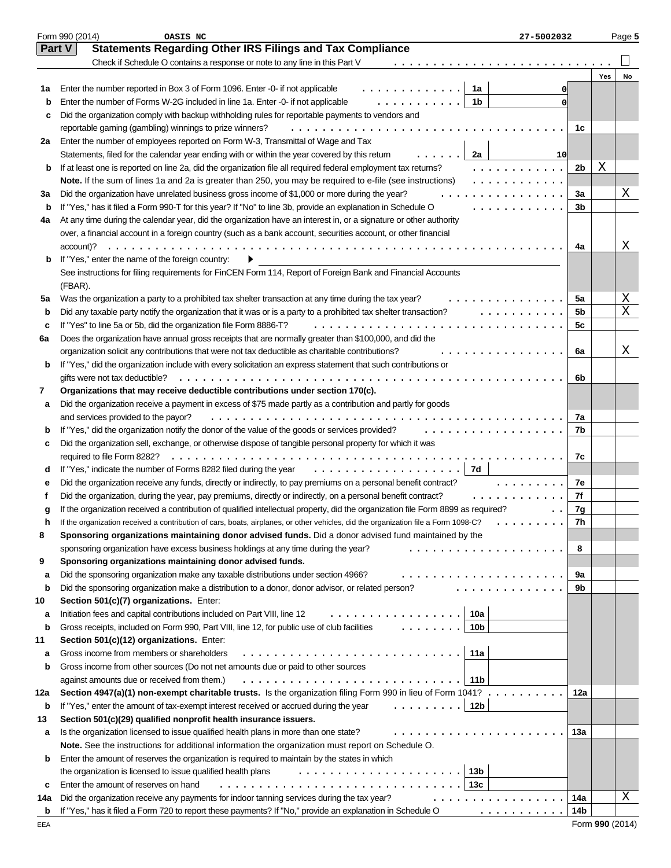|     | Form 990 (2014)<br>OASIS NC<br>27-5002032                                                                                                                                                                                                                                                                                                                                                                                                                                                                                                                                                          |                |     | Page 5 |
|-----|----------------------------------------------------------------------------------------------------------------------------------------------------------------------------------------------------------------------------------------------------------------------------------------------------------------------------------------------------------------------------------------------------------------------------------------------------------------------------------------------------------------------------------------------------------------------------------------------------|----------------|-----|--------|
|     | Part V<br><b>Statements Regarding Other IRS Filings and Tax Compliance</b>                                                                                                                                                                                                                                                                                                                                                                                                                                                                                                                         |                |     |        |
|     | Check if Schedule O contains a response or note to any line in this Part V                                                                                                                                                                                                                                                                                                                                                                                                                                                                                                                         |                |     |        |
|     |                                                                                                                                                                                                                                                                                                                                                                                                                                                                                                                                                                                                    |                | Yes | No     |
| 1а  | Enter the number reported in Box 3 of Form 1096. Enter -0- if not applicable<br>1a<br>.                                                                                                                                                                                                                                                                                                                                                                                                                                                                                                            | 0              |     |        |
| b   | .<br>1 <sub>b</sub><br>Enter the number of Forms W-2G included in line 1a. Enter -0- if not applicable                                                                                                                                                                                                                                                                                                                                                                                                                                                                                             | 0              |     |        |
| c   | Did the organization comply with backup withholding rules for reportable payments to vendors and                                                                                                                                                                                                                                                                                                                                                                                                                                                                                                   |                |     |        |
|     | reportable gaming (gambling) winnings to prize winners?                                                                                                                                                                                                                                                                                                                                                                                                                                                                                                                                            | 1c             |     |        |
| 2a  | Enter the number of employees reported on Form W-3, Transmittal of Wage and Tax                                                                                                                                                                                                                                                                                                                                                                                                                                                                                                                    |                |     |        |
|     | Statements, filed for the calendar year ending with or within the year covered by this return<br>2a<br>10                                                                                                                                                                                                                                                                                                                                                                                                                                                                                          |                |     |        |
| b   | If at least one is reported on line 2a, did the organization file all required federal employment tax returns?<br>.                                                                                                                                                                                                                                                                                                                                                                                                                                                                                | 2b             | Χ   |        |
|     | Note. If the sum of lines 1a and 2a is greater than 250, you may be required to e-file (see instructions)<br>.                                                                                                                                                                                                                                                                                                                                                                                                                                                                                     |                |     |        |
| За  | Did the organization have unrelated business gross income of \$1,000 or more during the year?<br>.                                                                                                                                                                                                                                                                                                                                                                                                                                                                                                 | 3a             |     | Χ      |
| b   | If "Yes," has it filed a Form 990-T for this year? If "No" to line 3b, provide an explanation in Schedule O<br>.                                                                                                                                                                                                                                                                                                                                                                                                                                                                                   | 3b             |     |        |
| 4a  | At any time during the calendar year, did the organization have an interest in, or a signature or other authority                                                                                                                                                                                                                                                                                                                                                                                                                                                                                  |                |     |        |
|     | over, a financial account in a foreign country (such as a bank account, securities account, or other financial                                                                                                                                                                                                                                                                                                                                                                                                                                                                                     |                |     |        |
|     | $account)? \t$                                                                                                                                                                                                                                                                                                                                                                                                                                                                                                                                                                                     | 4a             |     | Χ      |
| b   | If "Yes," enter the name of the foreign country:                                                                                                                                                                                                                                                                                                                                                                                                                                                                                                                                                   |                |     |        |
|     | See instructions for filing requirements for FinCEN Form 114, Report of Foreign Bank and Financial Accounts                                                                                                                                                                                                                                                                                                                                                                                                                                                                                        |                |     |        |
|     | (FBAR).                                                                                                                                                                                                                                                                                                                                                                                                                                                                                                                                                                                            |                |     |        |
| 5a  | Was the organization a party to a prohibited tax shelter transaction at any time during the tax year?<br>.                                                                                                                                                                                                                                                                                                                                                                                                                                                                                         | 5a             |     | Χ      |
| b   | Did any taxable party notify the organization that it was or is a party to a prohibited tax shelter transaction?<br>.                                                                                                                                                                                                                                                                                                                                                                                                                                                                              | 5 <sub>b</sub> |     | Χ      |
| c   | If "Yes" to line 5a or 5b, did the organization file Form 8886-T?                                                                                                                                                                                                                                                                                                                                                                                                                                                                                                                                  | 5c             |     |        |
| 6а  | Does the organization have annual gross receipts that are normally greater than \$100,000, and did the                                                                                                                                                                                                                                                                                                                                                                                                                                                                                             |                |     |        |
|     | organization solicit any contributions that were not tax deductible as charitable contributions?                                                                                                                                                                                                                                                                                                                                                                                                                                                                                                   | 6a             |     | Χ      |
| b   | If "Yes," did the organization include with every solicitation an express statement that such contributions or                                                                                                                                                                                                                                                                                                                                                                                                                                                                                     |                |     |        |
|     | gifts were not tax deductible?                                                                                                                                                                                                                                                                                                                                                                                                                                                                                                                                                                     | 6b             |     |        |
| 7   | Organizations that may receive deductible contributions under section 170(c).                                                                                                                                                                                                                                                                                                                                                                                                                                                                                                                      |                |     |        |
| а   | Did the organization receive a payment in excess of \$75 made partly as a contribution and partly for goods                                                                                                                                                                                                                                                                                                                                                                                                                                                                                        |                |     |        |
|     | and services provided to the payor?<br>.                                                                                                                                                                                                                                                                                                                                                                                                                                                                                                                                                           | 7a             |     |        |
| b   | If "Yes," did the organization notify the donor of the value of the goods or services provided?<br>.                                                                                                                                                                                                                                                                                                                                                                                                                                                                                               | 7b             |     |        |
| c   | Did the organization sell, exchange, or otherwise dispose of tangible personal property for which it was                                                                                                                                                                                                                                                                                                                                                                                                                                                                                           |                |     |        |
|     | required to file Form 8282?                                                                                                                                                                                                                                                                                                                                                                                                                                                                                                                                                                        | 7c             |     |        |
| d   | If "Yes," indicate the number of Forms 8282 filed during the year<br>.<br>7d                                                                                                                                                                                                                                                                                                                                                                                                                                                                                                                       |                |     |        |
| е   | Did the organization receive any funds, directly or indirectly, to pay premiums on a personal benefit contract?<br>.                                                                                                                                                                                                                                                                                                                                                                                                                                                                               | 7e             |     |        |
|     | Did the organization, during the year, pay premiums, directly or indirectly, on a personal benefit contract?<br>in a change of the state                                                                                                                                                                                                                                                                                                                                                                                                                                                           | 7f             |     |        |
| g   | If the organization received a contribution of qualified intellectual property, did the organization file Form 8899 as required?                                                                                                                                                                                                                                                                                                                                                                                                                                                                   | 7g             |     |        |
|     | If the organization received a contribution of cars, boats, airplanes, or other vehicles, did the organization file a Form 1098-C?                                                                                                                                                                                                                                                                                                                                                                                                                                                                 | 7h             |     |        |
| 8   | Sponsoring organizations maintaining donor advised funds. Did a donor advised fund maintained by the                                                                                                                                                                                                                                                                                                                                                                                                                                                                                               |                |     |        |
|     | sponsoring organization have excess business holdings at any time during the year?<br>.                                                                                                                                                                                                                                                                                                                                                                                                                                                                                                            | 8              |     |        |
| 9   | Sponsoring organizations maintaining donor advised funds.                                                                                                                                                                                                                                                                                                                                                                                                                                                                                                                                          |                |     |        |
| a   | Did the sponsoring organization make any taxable distributions under section 4966?                                                                                                                                                                                                                                                                                                                                                                                                                                                                                                                 | 9a             |     |        |
| b   | Did the sponsoring organization make a distribution to a donor, donor advisor, or related person?<br>.                                                                                                                                                                                                                                                                                                                                                                                                                                                                                             | 9b             |     |        |
| 10  | Section 501(c)(7) organizations. Enter:                                                                                                                                                                                                                                                                                                                                                                                                                                                                                                                                                            |                |     |        |
| а   | 10a<br>Initiation fees and capital contributions included on Part VIII, line 12<br>.                                                                                                                                                                                                                                                                                                                                                                                                                                                                                                               |                |     |        |
| b   | $\cdots$<br>10 <sub>b</sub><br>Gross receipts, included on Form 990, Part VIII, line 12, for public use of club facilities                                                                                                                                                                                                                                                                                                                                                                                                                                                                         |                |     |        |
| 11  | Section 501(c)(12) organizations. Enter:                                                                                                                                                                                                                                                                                                                                                                                                                                                                                                                                                           |                |     |        |
| а   | Gross income from members or shareholders<br>11a                                                                                                                                                                                                                                                                                                                                                                                                                                                                                                                                                   |                |     |        |
| b   | Gross income from other sources (Do not net amounts due or paid to other sources                                                                                                                                                                                                                                                                                                                                                                                                                                                                                                                   |                |     |        |
|     | 11 <sub>b</sub><br>against amounts due or received from them.)                                                                                                                                                                                                                                                                                                                                                                                                                                                                                                                                     |                |     |        |
| 12a | Section 4947(a)(1) non-exempt charitable trusts. Is the organization filing Form 990 in lieu of Form 1041?                                                                                                                                                                                                                                                                                                                                                                                                                                                                                         | 12a            |     |        |
| b   | 12 <sub>b</sub><br>If "Yes," enter the amount of tax-exempt interest received or accrued during the year                                                                                                                                                                                                                                                                                                                                                                                                                                                                                           |                |     |        |
| 13  | Section 501(c)(29) qualified nonprofit health insurance issuers.                                                                                                                                                                                                                                                                                                                                                                                                                                                                                                                                   |                |     |        |
| а   | Is the organization licensed to issue qualified health plans in more than one state?<br>.                                                                                                                                                                                                                                                                                                                                                                                                                                                                                                          | 13a            |     |        |
|     | Note. See the instructions for additional information the organization must report on Schedule O.                                                                                                                                                                                                                                                                                                                                                                                                                                                                                                  |                |     |        |
| b   | Enter the amount of reserves the organization is required to maintain by the states in which                                                                                                                                                                                                                                                                                                                                                                                                                                                                                                       |                |     |        |
|     | 13b<br>the organization is licensed to issue qualified health plans                                                                                                                                                                                                                                                                                                                                                                                                                                                                                                                                |                |     |        |
| c   | 13 <sub>c</sub><br>Enter the amount of reserves on hand                                                                                                                                                                                                                                                                                                                                                                                                                                                                                                                                            |                |     |        |
| 14a | Did the organization receive any payments for indoor tanning services during the tax year?<br>. <i>.</i>                                                                                                                                                                                                                                                                                                                                                                                                                                                                                           | 14a            |     | Χ      |
| b   | If "Yes," has it filed a Form 720 to report these payments? If "No," provide an explanation in Schedule O<br>$\mathcal{L} = \{ \mathcal{L} \mid \mathcal{L} \mid \mathcal{L} \mid \mathcal{L} \mid \mathcal{L} \mid \mathcal{L} \mid \mathcal{L} \mid \mathcal{L} \mid \mathcal{L} \mid \mathcal{L} \mid \mathcal{L} \mid \mathcal{L} \mid \mathcal{L} \mid \mathcal{L} \mid \mathcal{L} \mid \mathcal{L} \mid \mathcal{L} \mid \mathcal{L} \mid \mathcal{L} \mid \mathcal{L} \mid \mathcal{L} \mid \mathcal{L} \mid \mathcal{L} \mid \mathcal{L} \mid \mathcal{L} \mid \mathcal{L} \mid \mathcal$ | 14b            |     |        |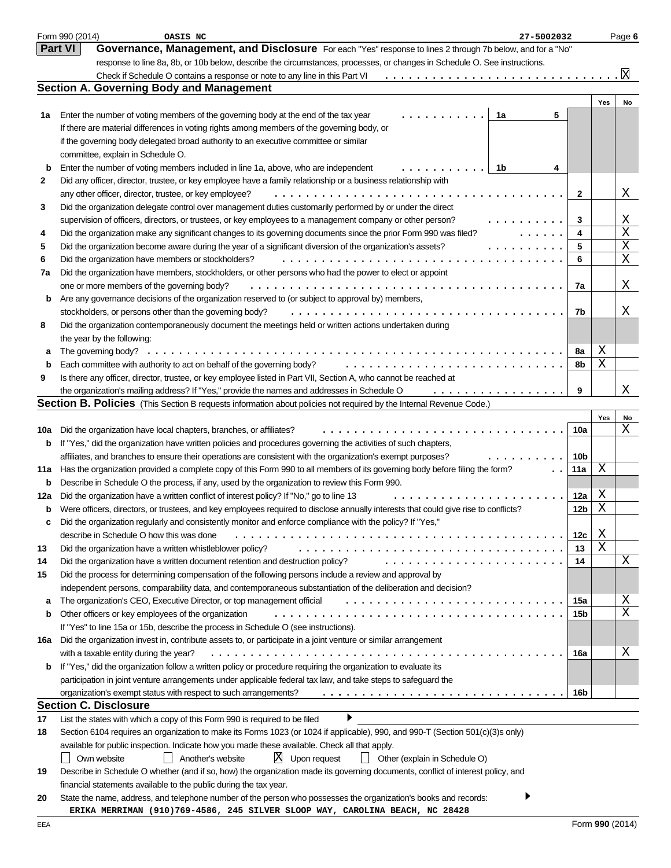|     | Form 990 (2014)<br>OASIS NC<br>27-5002032                                                                                                                    |                 |     | Page 6                     |
|-----|--------------------------------------------------------------------------------------------------------------------------------------------------------------|-----------------|-----|----------------------------|
|     | <b>Part VI</b><br>Governance, Management, and Disclosure For each "Yes" response to lines 2 through 7b below, and for a "No"                                 |                 |     |                            |
|     | response to line 8a, 8b, or 10b below, describe the circumstances, processes, or changes in Schedule O. See instructions.                                    |                 |     |                            |
|     | Check if Schedule O contains a response or note to any line in this Part VI                                                                                  |                 |     | x                          |
|     | <b>Section A. Governing Body and Management</b>                                                                                                              |                 |     |                            |
|     |                                                                                                                                                              |                 | Yes | No                         |
| 1a  | Enter the number of voting members of the governing body at the end of the tax year<br>1a<br>5                                                               |                 |     |                            |
|     | If there are material differences in voting rights among members of the governing body, or                                                                   |                 |     |                            |
|     | if the governing body delegated broad authority to an executive committee or similar                                                                         |                 |     |                            |
|     | committee, explain in Schedule O.                                                                                                                            |                 |     |                            |
| b   | Enter the number of voting members included in line 1a, above, who are independent<br>1b<br>4                                                                |                 |     |                            |
| 2   | Did any officer, director, trustee, or key employee have a family relationship or a business relationship with                                               |                 |     |                            |
|     | any other officer, director, trustee, or key employee?                                                                                                       | $\mathbf{2}$    |     | Χ                          |
| 3   | Did the organization delegate control over management duties customarily performed by or under the direct                                                    |                 |     |                            |
|     | supervision of officers, directors, or trustees, or key employees to a management company or other person?                                                   | 3               |     | Χ                          |
| 4   | Did the organization make any significant changes to its governing documents since the prior Form 990 was filed?                                             | 4               |     | $\mathbf X$                |
| 5   | Did the organization become aware during the year of a significant diversion of the organization's assets?                                                   | 5               |     | X                          |
| 6   | Did the organization have members or stockholders?                                                                                                           | 6               |     | X                          |
| 7a  | Did the organization have members, stockholders, or other persons who had the power to elect or appoint                                                      |                 |     |                            |
|     | one or more members of the governing body?                                                                                                                   | 7a              |     | Χ                          |
| b   | Are any governance decisions of the organization reserved to (or subject to approval by) members,<br>stockholders, or persons other than the governing body? |                 |     | Χ                          |
| 8   | Did the organization contemporaneously document the meetings held or written actions undertaken during                                                       | 7b              |     |                            |
|     | the year by the following:                                                                                                                                   |                 |     |                            |
| а   | The governing body? $\dots \dots \dots \dots \dots \dots \dots \dots \dots \dots \dots$                                                                      | 8а              | Χ   |                            |
| b   | Each committee with authority to act on behalf of the governing body?                                                                                        | 8b              | Χ   |                            |
| 9   | Is there any officer, director, trustee, or key employee listed in Part VII, Section A, who cannot be reached at                                             |                 |     |                            |
|     | the organization's mailing address? If "Yes," provide the names and addresses in Schedule O<br>.                                                             | 9               |     | Χ                          |
|     | <b>Section B. Policies</b> (This Section B requests information about policies not required by the Internal Revenue Code.)                                   |                 |     |                            |
|     |                                                                                                                                                              |                 | Yes | No                         |
| 10a | Did the organization have local chapters, branches, or affiliates?                                                                                           | 10a             |     | X                          |
| b   | If "Yes," did the organization have written policies and procedures governing the activities of such chapters,                                               |                 |     |                            |
|     | affiliates, and branches to ensure their operations are consistent with the organization's exempt purposes?                                                  | 10b             |     |                            |
| 11a | Has the organization provided a complete copy of this Form 990 to all members of its governing body before filing the form?                                  | 11a             | X   |                            |
| b   | Describe in Schedule O the process, if any, used by the organization to review this Form 990.                                                                |                 |     |                            |
| 12a | Did the organization have a written conflict of interest policy? If "No," go to line 13                                                                      | 12a             | Χ   |                            |
| b   | Were officers, directors, or trustees, and key employees required to disclose annually interests that could give rise to conflicts?                          | 12 <sub>b</sub> | Χ   |                            |
| c   | Did the organization regularly and consistently monitor and enforce compliance with the policy? If "Yes,"                                                    |                 |     |                            |
|     | describe in Schedule O how this was done                                                                                                                     | 12c             | Χ   |                            |
| 13  | Did the organization have a written whistleblower policy?                                                                                                    | 13              | X   |                            |
| 14  | Did the organization have a written document retention and destruction policy?<br>.                                                                          | 14              |     | Χ                          |
| 15  | Did the process for determining compensation of the following persons include a review and approval by                                                       |                 |     |                            |
|     | independent persons, comparability data, and contemporaneous substantiation of the deliberation and decision?                                                |                 |     |                            |
| a   | The organization's CEO, Executive Director, or top management official                                                                                       | 15a             |     | Χ<br>$\overline{\text{X}}$ |
| b   | Other officers or key employees of the organization                                                                                                          | 15b             |     |                            |
|     | If "Yes" to line 15a or 15b, describe the process in Schedule O (see instructions).                                                                          |                 |     |                            |
| 16a | Did the organization invest in, contribute assets to, or participate in a joint venture or similar arrangement<br>with a taxable entity during the year?     | 16a             |     | Χ                          |
| b   | If "Yes," did the organization follow a written policy or procedure requiring the organization to evaluate its                                               |                 |     |                            |
|     | participation in joint venture arrangements under applicable federal tax law, and take steps to safeguard the                                                |                 |     |                            |
|     | organization's exempt status with respect to such arrangements?                                                                                              | 16b             |     |                            |
|     | <b>Section C. Disclosure</b>                                                                                                                                 |                 |     |                            |
| 17  | List the states with which a copy of this Form 990 is required to be filed                                                                                   |                 |     |                            |
| 18  | Section 6104 requires an organization to make its Forms 1023 (or 1024 if applicable), 990, and 990-T (Section 501(c)(3)s only)                               |                 |     |                            |
|     | available for public inspection. Indicate how you made these available. Check all that apply.                                                                |                 |     |                            |
|     | $X$ Upon request<br>Own website<br>Another's website<br>Other (explain in Schedule O)                                                                        |                 |     |                            |
| 19  | Describe in Schedule O whether (and if so, how) the organization made its governing documents, conflict of interest policy, and                              |                 |     |                            |
|     | financial statements available to the public during the tax year.                                                                                            |                 |     |                            |
| 20  | State the name, address, and telephone number of the person who possesses the organization's books and records:                                              |                 |     |                            |
|     | ERIKA MERRIMAN (910)769-4586, 245 SILVER SLOOP WAY, CAROLINA BEACH, NC 28428                                                                                 |                 |     |                            |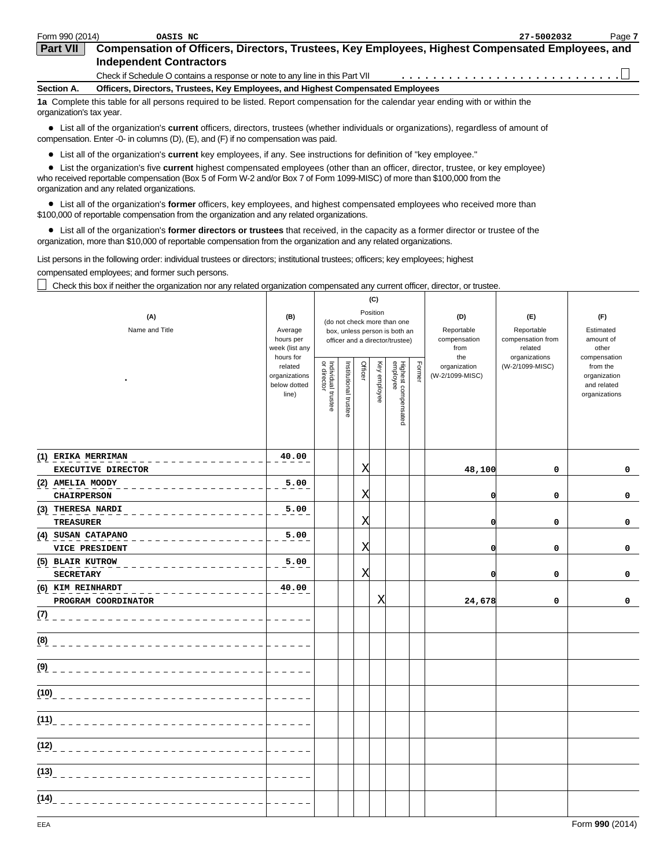| Form 990 (2014)          | OASIS NC                                                                                                                                                                                                                           | 27-5002032 | Page 7 |
|--------------------------|------------------------------------------------------------------------------------------------------------------------------------------------------------------------------------------------------------------------------------|------------|--------|
| <b>Part VII</b>          | Compensation of Officers, Directors, Trustees, Key Employees, Highest Compensated Employees, and                                                                                                                                   |            |        |
|                          | <b>Independent Contractors</b>                                                                                                                                                                                                     |            |        |
|                          | Check if Schedule O contains a response or note to any line in this Part VII                                                                                                                                                       |            |        |
| Section A.               | Officers, Directors, Trustees, Key Employees, and Highest Compensated Employees                                                                                                                                                    |            |        |
| organization's tax year. | 1a Complete this table for all persons required to be listed. Report compensation for the calendar year ending with or within the                                                                                                  |            |        |
|                          | • List all of the organization's <b>current</b> officers, directors, trustees (whether individuals or organizations), regardless of amount of<br>compensation. Enter -0- in columns (D), (E), and (F) if no compensation was paid. |            |        |

Т

List all of the organization's **current** key employees, if any. See instructions for definition of "key employee."

List the organization's five **current** highest compensated employees (other than an officer, director, trustee, or key employee)

who received reportable compensation (Box 5 of Form W-2 and/or Box 7 of Form 1099-MISC) of more than \$100,000 from the organization and any related organizations.

List all of the organization's **former** officers, key employees, and highest compensated employees who received more than \$100,000 of reportable compensation from the organization and any related organizations.

List all of the organization's **former directors or trustees** that received, in the capacity as a former director or trustee of the organization, more than \$10,000 of reportable compensation from the organization and any related organizations.

List persons in the following order: individual trustees or directors; institutional trustees; officers; key employees; highest compensated employees; and former such persons.

Check this box if neither the organization nor any related organization compensated any current officer, director, or trustee.

| (A)<br>Name and Title                    | (B)<br>Average<br>hours per<br>week (list any<br>hours for<br>related<br>organizations<br>below dotted<br>line) | (C)<br>Position<br>(do not check more than one<br>box, unless person is both an<br>officer and a director/trustee)<br>  Individual trustee<br>  or director<br>Officer<br>Highest compensated<br>employee<br>Institutional trustee<br>Key employee<br>Former |  |   |   |  |  | (D)<br>Reportable<br>compensation<br>from<br>the<br>organization<br>(W-2/1099-MISC) | (E)<br>Reportable<br>compensation from<br>related<br>organizations<br>(W-2/1099-MISC) | (F)<br>Estimated<br>amount of<br>other<br>compensation<br>from the<br>organization<br>and related<br>organizations |
|------------------------------------------|-----------------------------------------------------------------------------------------------------------------|--------------------------------------------------------------------------------------------------------------------------------------------------------------------------------------------------------------------------------------------------------------|--|---|---|--|--|-------------------------------------------------------------------------------------|---------------------------------------------------------------------------------------|--------------------------------------------------------------------------------------------------------------------|
| (1) ERIKA MERRIMAN<br>EXECUTIVE DIRECTOR | 40.00                                                                                                           |                                                                                                                                                                                                                                                              |  | Χ |   |  |  | 48,100                                                                              | $\mathbf 0$                                                                           | 0                                                                                                                  |
| (2) AMELIA MOODY<br><b>CHAIRPERSON</b>   | 5.00                                                                                                            |                                                                                                                                                                                                                                                              |  | X |   |  |  | O                                                                                   | $\mathbf 0$                                                                           | 0                                                                                                                  |
| (3) THERESA NARDI<br><b>TREASURER</b>    | 5.00                                                                                                            |                                                                                                                                                                                                                                                              |  | Χ |   |  |  | O                                                                                   | $\mathbf 0$                                                                           | 0                                                                                                                  |
| (4) SUSAN CATAPANO<br>VICE PRESIDENT     | 5.00                                                                                                            |                                                                                                                                                                                                                                                              |  | Χ |   |  |  | O                                                                                   | 0                                                                                     | 0                                                                                                                  |
| (5) BLAIR KUTROW<br><b>SECRETARY</b>     | 5.00                                                                                                            |                                                                                                                                                                                                                                                              |  | Χ |   |  |  | $\mathbf{0}$                                                                        | $\mathbf 0$                                                                           | 0                                                                                                                  |
| (6) KIM REINHARDT<br>PROGRAM COORDINATOR | 40.00                                                                                                           |                                                                                                                                                                                                                                                              |  |   | Χ |  |  | 24,678                                                                              | 0                                                                                     | 0                                                                                                                  |
| (7)                                      |                                                                                                                 |                                                                                                                                                                                                                                                              |  |   |   |  |  |                                                                                     |                                                                                       |                                                                                                                    |
| $(8)$ _ _ _ _ _ _ _ _ _ _ _              |                                                                                                                 |                                                                                                                                                                                                                                                              |  |   |   |  |  |                                                                                     |                                                                                       |                                                                                                                    |
| $(9)$ ----------                         |                                                                                                                 |                                                                                                                                                                                                                                                              |  |   |   |  |  |                                                                                     |                                                                                       |                                                                                                                    |
| (10)                                     |                                                                                                                 |                                                                                                                                                                                                                                                              |  |   |   |  |  |                                                                                     |                                                                                       |                                                                                                                    |
| (11)                                     |                                                                                                                 |                                                                                                                                                                                                                                                              |  |   |   |  |  |                                                                                     |                                                                                       |                                                                                                                    |
| (12)                                     |                                                                                                                 |                                                                                                                                                                                                                                                              |  |   |   |  |  |                                                                                     |                                                                                       |                                                                                                                    |
| (13)                                     |                                                                                                                 |                                                                                                                                                                                                                                                              |  |   |   |  |  |                                                                                     |                                                                                       |                                                                                                                    |
| (14)                                     |                                                                                                                 |                                                                                                                                                                                                                                                              |  |   |   |  |  |                                                                                     |                                                                                       |                                                                                                                    |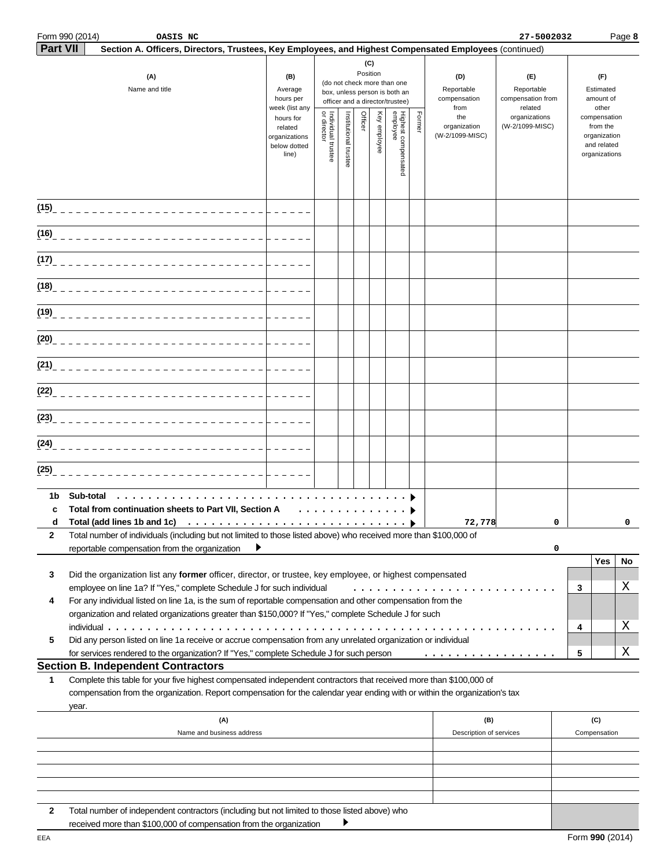|                 | Form 990 (2014)<br>OASIS NC                                                                                                                                                                                                                               |                                                                |                                   |                       |                 |              |                                                                                                 |        |                                           | 27-5002032                                        |                                        |                                                                          | Page 8 |
|-----------------|-----------------------------------------------------------------------------------------------------------------------------------------------------------------------------------------------------------------------------------------------------------|----------------------------------------------------------------|-----------------------------------|-----------------------|-----------------|--------------|-------------------------------------------------------------------------------------------------|--------|-------------------------------------------|---------------------------------------------------|----------------------------------------|--------------------------------------------------------------------------|--------|
| <b>Part VII</b> | Section A. Officers, Directors, Trustees, Key Employees, and Highest Compensated Employees (continued)                                                                                                                                                    |                                                                |                                   |                       |                 |              |                                                                                                 |        |                                           |                                                   |                                        |                                                                          |        |
|                 | (A)<br>Name and title                                                                                                                                                                                                                                     | (B)<br>Average<br>hours per<br>week (list any                  |                                   |                       | (C)<br>Position |              | (do not check more than one<br>box, unless person is both an<br>officer and a director/trustee) |        | (D)<br>Reportable<br>compensation<br>from | (E)<br>Reportable<br>compensation from<br>related | (F)<br>Estimated<br>amount of<br>other |                                                                          |        |
|                 |                                                                                                                                                                                                                                                           | hours for<br>related<br>organizations<br>below dotted<br>line) | Individual trustee<br>or director | Institutional trustee | Officer         | Key employee | Highest compensated<br>employee                                                                 | Former | the<br>organization<br>(W-2/1099-MISC)    | organizations<br>(W-2/1099-MISC)                  |                                        | compensation<br>from the<br>organization<br>and related<br>organizations |        |
|                 | (15)_______________________________                                                                                                                                                                                                                       |                                                                |                                   |                       |                 |              |                                                                                                 |        |                                           |                                                   |                                        |                                                                          |        |
|                 |                                                                                                                                                                                                                                                           |                                                                |                                   |                       |                 |              |                                                                                                 |        |                                           |                                                   |                                        |                                                                          |        |
|                 |                                                                                                                                                                                                                                                           |                                                                |                                   |                       |                 |              |                                                                                                 |        |                                           |                                                   |                                        |                                                                          |        |
|                 | (18) __________________________________                                                                                                                                                                                                                   |                                                                |                                   |                       |                 |              |                                                                                                 |        |                                           |                                                   |                                        |                                                                          |        |
|                 |                                                                                                                                                                                                                                                           |                                                                |                                   |                       |                 |              |                                                                                                 |        |                                           |                                                   |                                        |                                                                          |        |
|                 |                                                                                                                                                                                                                                                           |                                                                |                                   |                       |                 |              |                                                                                                 |        |                                           |                                                   |                                        |                                                                          |        |
|                 | (21) ___________________________________                                                                                                                                                                                                                  |                                                                |                                   |                       |                 |              |                                                                                                 |        |                                           |                                                   |                                        |                                                                          |        |
|                 |                                                                                                                                                                                                                                                           |                                                                |                                   |                       |                 |              |                                                                                                 |        |                                           |                                                   |                                        |                                                                          |        |
|                 |                                                                                                                                                                                                                                                           |                                                                |                                   |                       |                 |              |                                                                                                 |        |                                           |                                                   |                                        |                                                                          |        |
|                 |                                                                                                                                                                                                                                                           |                                                                |                                   |                       |                 |              |                                                                                                 |        |                                           |                                                   |                                        |                                                                          |        |
| (25)            |                                                                                                                                                                                                                                                           |                                                                |                                   |                       |                 |              |                                                                                                 |        |                                           |                                                   |                                        |                                                                          |        |
| 1b              | Sub-total                                                                                                                                                                                                                                                 |                                                                |                                   |                       |                 |              |                                                                                                 |        |                                           |                                                   |                                        |                                                                          |        |
| c<br>d          | Total from continuation sheets to Part VII, Section A                                                                                                                                                                                                     |                                                                | .                                 |                       |                 |              |                                                                                                 |        | 72,778                                    | 0                                                 |                                        |                                                                          | 0      |
| 2               | Total number of individuals (including but not limited to those listed above) who received more than \$100,000 of<br>reportable compensation from the organization                                                                                        |                                                                |                                   |                       |                 |              |                                                                                                 |        |                                           | 0                                                 |                                        |                                                                          |        |
|                 |                                                                                                                                                                                                                                                           |                                                                |                                   |                       |                 |              |                                                                                                 |        |                                           |                                                   |                                        | Yes                                                                      | No     |
| 3               | Did the organization list any former officer, director, or trustee, key employee, or highest compensated<br>employee on line 1a? If "Yes," complete Schedule J for such individual                                                                        |                                                                |                                   |                       |                 |              |                                                                                                 |        |                                           |                                                   | 3                                      |                                                                          | Χ      |
| 4               | For any individual listed on line 1a, is the sum of reportable compensation and other compensation from the                                                                                                                                               |                                                                |                                   |                       |                 |              |                                                                                                 |        |                                           |                                                   |                                        |                                                                          |        |
|                 | organization and related organizations greater than \$150,000? If "Yes," complete Schedule J for such                                                                                                                                                     |                                                                |                                   |                       |                 |              |                                                                                                 |        |                                           |                                                   |                                        |                                                                          |        |
| 5               | Did any person listed on line 1a receive or accrue compensation from any unrelated organization or individual                                                                                                                                             |                                                                |                                   |                       |                 |              |                                                                                                 |        |                                           |                                                   | 4                                      |                                                                          | Χ      |
|                 | for services rendered to the organization? If "Yes," complete Schedule J for such person                                                                                                                                                                  |                                                                |                                   |                       |                 |              |                                                                                                 |        | .                                         |                                                   | 5                                      |                                                                          | Χ      |
|                 | <b>Section B. Independent Contractors</b>                                                                                                                                                                                                                 |                                                                |                                   |                       |                 |              |                                                                                                 |        |                                           |                                                   |                                        |                                                                          |        |
| 1               | Complete this table for your five highest compensated independent contractors that received more than \$100,000 of<br>compensation from the organization. Report compensation for the calendar year ending with or within the organization's tax<br>year. |                                                                |                                   |                       |                 |              |                                                                                                 |        |                                           |                                                   |                                        |                                                                          |        |
|                 | (A)                                                                                                                                                                                                                                                       |                                                                |                                   |                       |                 |              |                                                                                                 |        | (B)                                       |                                                   |                                        | (C)                                                                      |        |
|                 | Name and business address                                                                                                                                                                                                                                 |                                                                |                                   |                       |                 |              |                                                                                                 |        | Description of services                   |                                                   |                                        | Compensation                                                             |        |
|                 |                                                                                                                                                                                                                                                           |                                                                |                                   |                       |                 |              |                                                                                                 |        |                                           |                                                   |                                        |                                                                          |        |
|                 |                                                                                                                                                                                                                                                           |                                                                |                                   |                       |                 |              |                                                                                                 |        |                                           |                                                   |                                        |                                                                          |        |
|                 |                                                                                                                                                                                                                                                           |                                                                |                                   |                       |                 |              |                                                                                                 |        |                                           |                                                   |                                        |                                                                          |        |
| 2               | Total number of independent contractors (including but not limited to those listed above) who<br>received more than \$100,000 of compensation from the organization                                                                                       |                                                                |                                   |                       |                 |              |                                                                                                 |        |                                           |                                                   |                                        |                                                                          |        |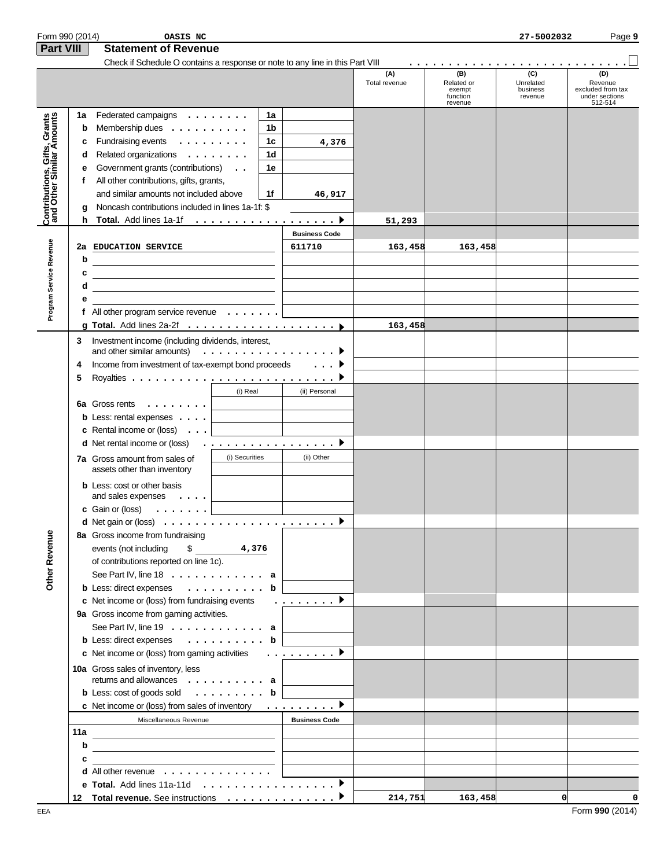| Form 990 (2014)                                           |     | OASIS NC                                                                                                                                         |                                     |    |                      |                      |                                                    | 27-5002032                              | Page 9                                                           |
|-----------------------------------------------------------|-----|--------------------------------------------------------------------------------------------------------------------------------------------------|-------------------------------------|----|----------------------|----------------------|----------------------------------------------------|-----------------------------------------|------------------------------------------------------------------|
| Part VIII                                                 |     | <b>Statement of Revenue</b>                                                                                                                      |                                     |    |                      |                      |                                                    |                                         |                                                                  |
|                                                           |     | Check if Schedule O contains a response or note to any line in this Part VIII                                                                    |                                     |    |                      |                      |                                                    |                                         |                                                                  |
|                                                           |     |                                                                                                                                                  |                                     |    |                      | (A)<br>Total revenue | (B)<br>Related or<br>exempt<br>function<br>revenue | (C)<br>Unrelated<br>business<br>revenue | (D)<br>Revenue<br>excluded from tax<br>under sections<br>512-514 |
|                                                           | 1a  | Federated campaigns $\dots \dots$                                                                                                                |                                     | 1a |                      |                      |                                                    |                                         |                                                                  |
| Contributions, Gifts, Grants<br>and Other Similar Amounts | b   | Membership dues $\dots \dots \dots$                                                                                                              |                                     | 1b |                      |                      |                                                    |                                         |                                                                  |
|                                                           | c   | Fundraising events                                                                                                                               |                                     | 1c | 4,376                |                      |                                                    |                                         |                                                                  |
|                                                           | d   | Related organizations                                                                                                                            |                                     | 1d |                      |                      |                                                    |                                         |                                                                  |
|                                                           | е   | Government grants (contributions)                                                                                                                |                                     | 1e |                      |                      |                                                    |                                         |                                                                  |
|                                                           | f   | All other contributions, gifts, grants,                                                                                                          |                                     |    |                      |                      |                                                    |                                         |                                                                  |
|                                                           |     | and similar amounts not included above                                                                                                           |                                     | 1f | 46,917               |                      |                                                    |                                         |                                                                  |
|                                                           | g   | Noncash contributions included in lines 1a-1f: \$                                                                                                |                                     |    |                      |                      |                                                    |                                         |                                                                  |
|                                                           |     |                                                                                                                                                  |                                     |    |                      | 51,293               |                                                    |                                         |                                                                  |
|                                                           |     |                                                                                                                                                  |                                     |    | <b>Business Code</b> |                      |                                                    |                                         |                                                                  |
|                                                           |     | 2a EDUCATION SERVICE                                                                                                                             |                                     |    | 611710               | 163,458              | 163,458                                            |                                         |                                                                  |
|                                                           | b   | <u> 1989 - Johann Barn, mars eta bainar eta bainar eta baina eta baina eta baina eta baina eta baina eta baina e</u>                             | <u> 1990 - Johann Barbara, mart</u> |    |                      |                      |                                                    |                                         |                                                                  |
|                                                           | c   |                                                                                                                                                  |                                     |    |                      |                      |                                                    |                                         |                                                                  |
| Program Service Revenue                                   | d   | <u> 1989 - Johann John Stein, markin fan it ferskearre fan it ferskearre fan it ferskearre fan it ferskearre fan</u>                             |                                     |    |                      |                      |                                                    |                                         |                                                                  |
|                                                           | е   | <u> 1989 - Johann Barbara, martxa alemaniar a</u>                                                                                                |                                     |    |                      |                      |                                                    |                                         |                                                                  |
|                                                           |     | the control of the control of the control of the control of the control of the control of<br>f All other program service revenue $\ldots \ldots$ |                                     |    |                      |                      |                                                    |                                         |                                                                  |
|                                                           |     |                                                                                                                                                  |                                     |    |                      |                      |                                                    |                                         |                                                                  |
|                                                           |     |                                                                                                                                                  |                                     |    |                      | 163,458              |                                                    |                                         |                                                                  |
|                                                           | 3   | Investment income (including dividends, interest,<br>and other similar amounts) $\ldots \ldots \ldots \ldots \ldots$                             |                                     |    |                      |                      |                                                    |                                         |                                                                  |
|                                                           | 4   | Income from investment of tax-exempt bond proceeds                                                                                               |                                     |    |                      |                      |                                                    |                                         |                                                                  |
|                                                           |     |                                                                                                                                                  |                                     |    | . ▶                  |                      |                                                    |                                         |                                                                  |
|                                                           | 5   |                                                                                                                                                  |                                     |    |                      |                      |                                                    |                                         |                                                                  |
|                                                           |     |                                                                                                                                                  | (i) Real                            |    | (ii) Personal        |                      |                                                    |                                         |                                                                  |
|                                                           |     | 6a Gross rents $\ldots$                                                                                                                          | and the company of the company      |    |                      |                      |                                                    |                                         |                                                                  |
|                                                           |     | <b>b</b> Less: rental expenses $\ldots$ .                                                                                                        |                                     |    |                      |                      |                                                    |                                         |                                                                  |
|                                                           |     | <b>c</b> Rental income or (loss) $\ldots$                                                                                                        |                                     |    |                      |                      |                                                    |                                         |                                                                  |
|                                                           |     | <b>d</b> Net rental income or (loss) $\ldots \ldots \ldots \ldots \ldots$                                                                        |                                     |    |                      |                      |                                                    |                                         |                                                                  |
|                                                           |     | 7a Gross amount from sales of<br>assets other than inventory                                                                                     | (i) Securities                      |    | (ii) Other           |                      |                                                    |                                         |                                                                  |
|                                                           |     | <b>b</b> Less: cost or other basis<br>and sales expenses $\dots$                                                                                 |                                     |    |                      |                      |                                                    |                                         |                                                                  |
|                                                           |     | c Gain or (loss)<br>. 1                                                                                                                          |                                     |    |                      |                      |                                                    |                                         |                                                                  |
|                                                           |     | <b>d</b> Net gain or (loss) $\ldots$ $\ldots$ $\ldots$ $\ldots$ $\ldots$ $\ldots$ $\ldots$ $\ldots$                                              |                                     |    |                      |                      |                                                    |                                         |                                                                  |
|                                                           |     | 8a Gross income from fundraising                                                                                                                 |                                     |    |                      |                      |                                                    |                                         |                                                                  |
|                                                           |     | events (not including<br>$\mathsf{S}$                                                                                                            | 4,376                               |    |                      |                      |                                                    |                                         |                                                                  |
|                                                           |     | of contributions reported on line 1c).                                                                                                           |                                     |    |                      |                      |                                                    |                                         |                                                                  |
| Other Revenue                                             |     | See Part IV, line $18 \ldots \ldots \ldots \ldots$ a                                                                                             |                                     |    |                      |                      |                                                    |                                         |                                                                  |
|                                                           |     | <b>b</b> Less: direct expenses $\ldots \ldots \ldots$                                                                                            |                                     | b  |                      |                      |                                                    |                                         |                                                                  |
|                                                           |     | c Net income or (loss) from fundraising events                                                                                                   |                                     |    | . <b>.</b>           |                      |                                                    |                                         |                                                                  |
|                                                           |     | 9a Gross income from gaming activities.                                                                                                          |                                     |    |                      |                      |                                                    |                                         |                                                                  |
|                                                           |     | See Part IV, line $19 \ldots \ldots \ldots \ldots$ a                                                                                             |                                     |    |                      |                      |                                                    |                                         |                                                                  |
|                                                           |     | <b>b</b> Less: direct expenses $\ldots \ldots \ldots$ <b>b</b>                                                                                   |                                     |    |                      |                      |                                                    |                                         |                                                                  |
|                                                           |     | c Net income or (loss) from gaming activities                                                                                                    |                                     |    | . . <u>.</u> D       |                      |                                                    |                                         |                                                                  |
|                                                           |     | 10a Gross sales of inventory, less                                                                                                               |                                     |    |                      |                      |                                                    |                                         |                                                                  |
|                                                           |     | returns and allowances a                                                                                                                         |                                     |    |                      |                      |                                                    |                                         |                                                                  |
|                                                           |     | <b>b</b> Less: cost of goods sold $\ldots$ <b>b</b>                                                                                              |                                     |    |                      |                      |                                                    |                                         |                                                                  |
|                                                           |     | c Net income or (loss) from sales of inventory $\dots \dots \dots$                                                                               |                                     |    |                      |                      |                                                    |                                         |                                                                  |
|                                                           |     | Miscellaneous Revenue                                                                                                                            |                                     |    | <b>Business Code</b> |                      |                                                    |                                         |                                                                  |
|                                                           | 11a |                                                                                                                                                  |                                     |    |                      |                      |                                                    |                                         |                                                                  |
|                                                           | b   | <u> 1989 - Jan Stein Stein, fransk politik (f. 1989)</u>                                                                                         |                                     |    |                      |                      |                                                    |                                         |                                                                  |
|                                                           | c   | <u> 1989 - John Harry Harry Harry Harry Harry Harry Harry Harry Harry Harry Harry Harry Harry Harry Harry Harry H</u>                            |                                     |    |                      |                      |                                                    |                                         |                                                                  |
|                                                           |     | the contract of the contract of the contract of the contract of the contract of<br>d All other revenue                                           |                                     |    |                      |                      |                                                    |                                         |                                                                  |
|                                                           |     |                                                                                                                                                  |                                     |    |                      |                      |                                                    |                                         |                                                                  |
|                                                           |     |                                                                                                                                                  |                                     |    |                      | 214,751              | 163,458                                            | $\mathbf 0$                             | 0                                                                |
|                                                           |     |                                                                                                                                                  |                                     |    |                      |                      |                                                    |                                         |                                                                  |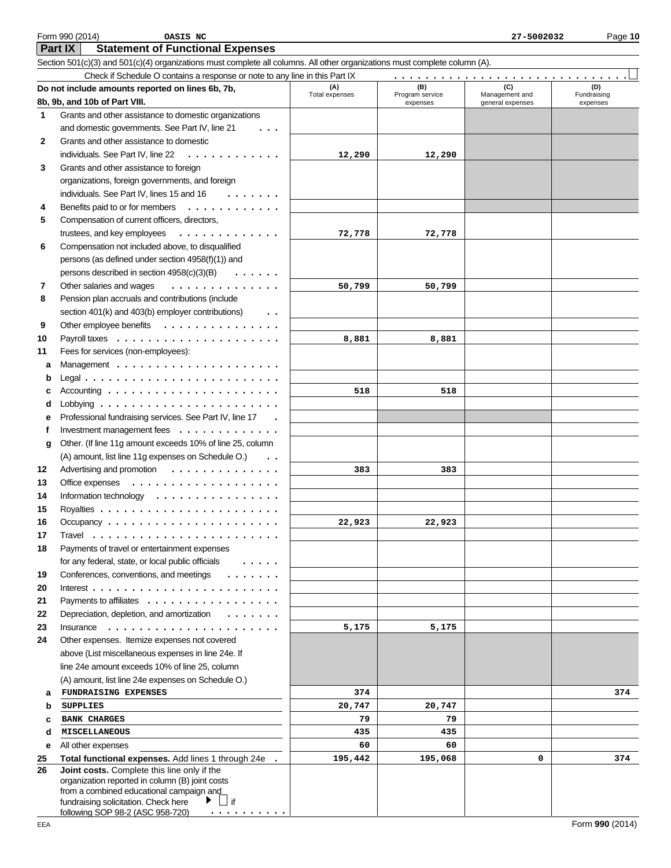|    | Do not include amounts reported on lines 6b, 7b,                                                                                                                                           | (A)<br>Total expenses | (B)<br>Program service | (C)<br>Management and | (D)<br>Fundraising |
|----|--------------------------------------------------------------------------------------------------------------------------------------------------------------------------------------------|-----------------------|------------------------|-----------------------|--------------------|
|    | 8b, 9b, and 10b of Part VIII.                                                                                                                                                              |                       | expenses               | general expenses      | expenses           |
| 1  | Grants and other assistance to domestic organizations                                                                                                                                      |                       |                        |                       |                    |
|    | and domestic governments. See Part IV, line 21                                                                                                                                             |                       |                        |                       |                    |
| 2  | Grants and other assistance to domestic                                                                                                                                                    |                       |                        |                       |                    |
|    | individuals. See Part IV, line 22<br>.                                                                                                                                                     | 12,290                | 12,290                 |                       |                    |
| 3  | Grants and other assistance to foreign                                                                                                                                                     |                       |                        |                       |                    |
|    | organizations, foreign governments, and foreign                                                                                                                                            |                       |                        |                       |                    |
|    | individuals. See Part IV, lines 15 and 16<br>$\begin{array}{cccccccccccccc} \bullet & \bullet & \bullet & \bullet & \bullet & \bullet & \bullet & \bullet & \bullet \end{array}$           |                       |                        |                       |                    |
| 4  | Benefits paid to or for members<br>.                                                                                                                                                       |                       |                        |                       |                    |
| 5  | Compensation of current officers, directors,                                                                                                                                               |                       |                        |                       |                    |
|    | trustees, and key employees<br>.                                                                                                                                                           | 72,778                | 72,778                 |                       |                    |
| 6  | Compensation not included above, to disqualified                                                                                                                                           |                       |                        |                       |                    |
|    | persons (as defined under section 4958(f)(1)) and                                                                                                                                          |                       |                        |                       |                    |
|    | persons described in section 4958(c)(3)(B)<br>$\sim$ . As a second second second second $\sim$                                                                                             |                       |                        |                       |                    |
| 7  | Other salaries and wages<br>.                                                                                                                                                              | 50,799                | 50,799                 |                       |                    |
| 8  | Pension plan accruals and contributions (include                                                                                                                                           |                       |                        |                       |                    |
|    | section 401(k) and 403(b) employer contributions)<br>$\ddotsc$                                                                                                                             |                       |                        |                       |                    |
| 9  | Other employee benefits                                                                                                                                                                    |                       |                        |                       |                    |
| 10 |                                                                                                                                                                                            | 8,881                 | 8,881                  |                       |                    |
| 11 | Fees for services (non-employees):                                                                                                                                                         |                       |                        |                       |                    |
| а  |                                                                                                                                                                                            |                       |                        |                       |                    |
| b  |                                                                                                                                                                                            |                       |                        |                       |                    |
| с  | Accounting $\ldots \ldots \ldots \ldots \ldots \ldots$                                                                                                                                     | 518                   | 518                    |                       |                    |
| d  | Lobbying $\ldots \ldots \ldots \ldots \ldots \ldots \ldots$                                                                                                                                |                       |                        |                       |                    |
| e  | Professional fundraising services. See Part IV, line 17                                                                                                                                    |                       |                        |                       |                    |
| f  | Investment management fees                                                                                                                                                                 |                       |                        |                       |                    |
| g  | Other. (If line 11g amount exceeds 10% of line 25, column                                                                                                                                  |                       |                        |                       |                    |
|    | (A) amount, list line 11g expenses on Schedule O.)                                                                                                                                         |                       |                        |                       |                    |
| 12 | $\ddotsc$                                                                                                                                                                                  |                       |                        |                       |                    |
| 13 | Advertising and promotion                                                                                                                                                                  | 383                   | 383                    |                       |                    |
| 14 | Office expenses                                                                                                                                                                            |                       |                        |                       |                    |
|    | Information technology $\dots \dots \dots \dots \dots$                                                                                                                                     |                       |                        |                       |                    |
| 15 |                                                                                                                                                                                            |                       |                        |                       |                    |
| 16 |                                                                                                                                                                                            | 22,923                | 22,923                 |                       |                    |
| 17 |                                                                                                                                                                                            |                       |                        |                       |                    |
| 18 | Payments of travel or entertainment expenses                                                                                                                                               |                       |                        |                       |                    |
|    | for any federal, state, or local public officials<br>$\cdots$                                                                                                                              |                       |                        |                       |                    |
| 19 | Conferences, conventions, and meetings                                                                                                                                                     |                       |                        |                       |                    |
| 20 |                                                                                                                                                                                            |                       |                        |                       |                    |
| 21 | Payments to affiliates                                                                                                                                                                     |                       |                        |                       |                    |
| 22 | Depreciation, depletion, and amortization<br>$\begin{array}{cccccccccccccc} \bullet & \bullet & \bullet & \bullet & \bullet & \bullet & \bullet & \bullet & \bullet & \bullet \end{array}$ |                       |                        |                       |                    |
| 23 | Insurance                                                                                                                                                                                  | 5,175                 | 5,175                  |                       |                    |
| 24 | Other expenses. Itemize expenses not covered                                                                                                                                               |                       |                        |                       |                    |
|    | above (List miscellaneous expenses in line 24e. If                                                                                                                                         |                       |                        |                       |                    |
|    | line 24e amount exceeds 10% of line 25, column                                                                                                                                             |                       |                        |                       |                    |
|    | (A) amount, list line 24e expenses on Schedule O.)                                                                                                                                         |                       |                        |                       |                    |
| a  | FUNDRAISING EXPENSES                                                                                                                                                                       | 374                   |                        |                       | 374                |
| b  | <b>SUPPLIES</b>                                                                                                                                                                            | 20,747                | 20,747                 |                       |                    |
| c  | <b>BANK CHARGES</b>                                                                                                                                                                        | 79                    | 79                     |                       |                    |
| d  | MISCELLANEOUS                                                                                                                                                                              | 435                   | 435                    |                       |                    |
| е  | All other expenses                                                                                                                                                                         | 60                    | 60                     |                       |                    |
| 25 | Total functional expenses. Add lines 1 through 24e                                                                                                                                         | 195,442               | 195,068                | 0                     | 374                |
| 26 | Joint costs. Complete this line only if the                                                                                                                                                |                       |                        |                       |                    |
|    | organization reported in column (B) joint costs<br>from a combined educational campaign and                                                                                                |                       |                        |                       |                    |
|    | $\mathop{\Box}$ if<br>fundraising solicitation. Check here<br>▶                                                                                                                            |                       |                        |                       |                    |
|    | following SOP 98-2 (ASC 958-720)                                                                                                                                                           |                       |                        |                       |                    |

**Part IX Statement of Functional Expenses**

Section 501(c)(3) and 501(c)(4) organizations must complete all columns. All other organizations must complete column (A).

Check if Schedule O contains a response or note to any line in this Part IX

..............................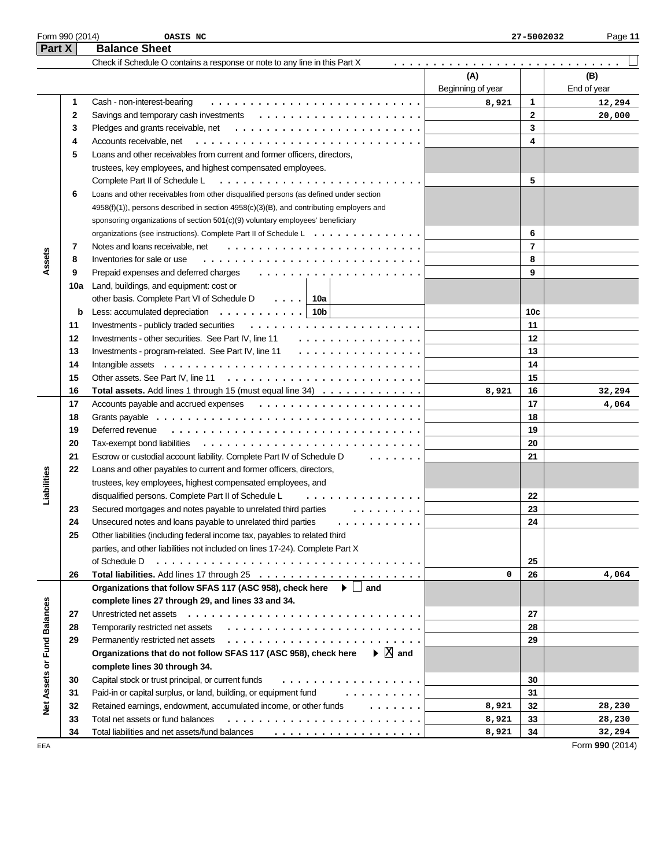| Form 990 (2014)  | OASIS NC                | 7-5002032<br>o n<br>-41 | Page |
|------------------|-------------------------|-------------------------|------|
| P <sub>art</sub> | <b>Balance</b><br>Sheet |                         |      |

| I GILA                      |          | הסווטיס טווספו                                                                                          |                   |                 |             |
|-----------------------------|----------|---------------------------------------------------------------------------------------------------------|-------------------|-----------------|-------------|
|                             |          | Check if Schedule O contains a response or note to any line in this Part X                              |                   |                 |             |
|                             |          |                                                                                                         | (A)               |                 | (B)         |
|                             |          |                                                                                                         | Beginning of year |                 | End of year |
|                             | 1        | Cash - non-interest-bearing                                                                             | 8,921             | $\mathbf{1}$    | 12,294      |
|                             | 2        |                                                                                                         |                   | $\mathbf{2}$    | 20,000      |
|                             | 3        |                                                                                                         |                   | 3               |             |
|                             | 4        | Accounts receivable, net                                                                                |                   | 4               |             |
|                             | 5        | Loans and other receivables from current and former officers, directors,                                |                   |                 |             |
|                             |          | trustees, key employees, and highest compensated employees.                                             |                   |                 |             |
|                             |          | Complete Part II of Schedule L                                                                          |                   | 5               |             |
|                             | 6        | Loans and other receivables from other disqualified persons (as defined under section                   |                   |                 |             |
|                             |          | 4958(f)(1)), persons described in section 4958(c)(3)(B), and contributing employers and                 |                   |                 |             |
|                             |          | sponsoring organizations of section 501(c)(9) voluntary employees' beneficiary                          |                   |                 |             |
|                             |          | organizations (see instructions). Complete Part II of Schedule L.                                       |                   | 6               |             |
|                             | 7        | Notes and loans receivable, net                                                                         |                   | $\overline{7}$  |             |
| Assets                      | 8        | Inventories for sale or use                                                                             |                   | 8               |             |
|                             | 9        | Prepaid expenses and deferred charges                                                                   |                   | 9               |             |
|                             | 10a      | Land, buildings, and equipment: cost or                                                                 |                   |                 |             |
|                             |          | other basis. Complete Part VI of Schedule D<br>.   10a                                                  |                   |                 |             |
|                             | b        | Less: accumulated depreciation $\ldots \ldots \ldots$   10b                                             |                   | 10 <sub>c</sub> |             |
|                             | 11       | Investments - publicly traded securities                                                                |                   | 11              |             |
|                             | 12       | Investments - other securities. See Part IV, line 11<br>.                                               |                   | 12              |             |
|                             | 13       | Investments - program-related. See Part IV, line 11<br>.                                                |                   | 13              |             |
|                             | 14       |                                                                                                         |                   | 14              |             |
|                             | 15       | Other assets. See Part IV, line 11 $\ldots \ldots \ldots \ldots \ldots \ldots \ldots \ldots$            |                   | 15              |             |
|                             | 16       | Total assets. Add lines 1 through 15 (must equal line 34)                                               | 8,921             | 16              | 32,294      |
|                             | 17       |                                                                                                         |                   | 17              | 4,064       |
|                             | 18       |                                                                                                         |                   | 18              |             |
|                             | 19       | Deferred revenue                                                                                        |                   | 19              |             |
|                             | 20       | Tax-exempt bond liabilities                                                                             |                   | 20              |             |
|                             | 21       | Escrow or custodial account liability. Complete Part IV of Schedule D<br>1.1.1.1.1.1                    |                   | 21              |             |
|                             | 22       |                                                                                                         |                   |                 |             |
|                             |          | Loans and other payables to current and former officers, directors,                                     |                   |                 |             |
| Liabilities                 |          | trustees, key employees, highest compensated employees, and                                             |                   |                 |             |
|                             |          | disqualified persons. Complete Part II of Schedule L<br>.                                               |                   | 22<br>23        |             |
|                             | 23       | Secured mortgages and notes payable to unrelated third parties<br>.                                     |                   |                 |             |
|                             | 24<br>25 | Unsecured notes and loans payable to unrelated third parties<br>.                                       |                   | 24              |             |
|                             |          | Other liabilities (including federal income tax, payables to related third                              |                   |                 |             |
|                             |          | parties, and other liabilities not included on lines 17-24). Complete Part X<br>of Schedule D           |                   | 25              |             |
|                             |          |                                                                                                         |                   |                 |             |
|                             | 26       |                                                                                                         | 0                 | 26              | 4,064       |
|                             |          | Organizations that follow SFAS 117 (ASC 958), check here<br>$\blacktriangleright$   and                 |                   |                 |             |
|                             |          | complete lines 27 through 29, and lines 33 and 34.                                                      |                   |                 |             |
|                             | 27       |                                                                                                         |                   | 27              |             |
|                             | 28       |                                                                                                         |                   | 28              |             |
|                             | 29       | Permanently restricted net assets                                                                       |                   | 29              |             |
|                             |          | $\blacktriangleright \mathbb{X}$ and<br>Organizations that do not follow SFAS 117 (ASC 958), check here |                   |                 |             |
|                             |          | complete lines 30 through 34.                                                                           |                   |                 |             |
|                             | 30       | Capital stock or trust principal, or current funds<br>.                                                 |                   | 30              |             |
|                             | 31       | Paid-in or capital surplus, or land, building, or equipment fund<br>.                                   |                   | 31              |             |
| Net Assets or Fund Balances | 32       | Retained earnings, endowment, accumulated income, or other funds<br>$\cdots$                            | 8,921             | 32              | 28,230      |
|                             | 33       | Total net assets or fund balances                                                                       | 8,921             | 33              | 28,230      |
|                             | 34       |                                                                                                         | 8,921             | 34              | 32,294      |

EEA Form **990** (2014)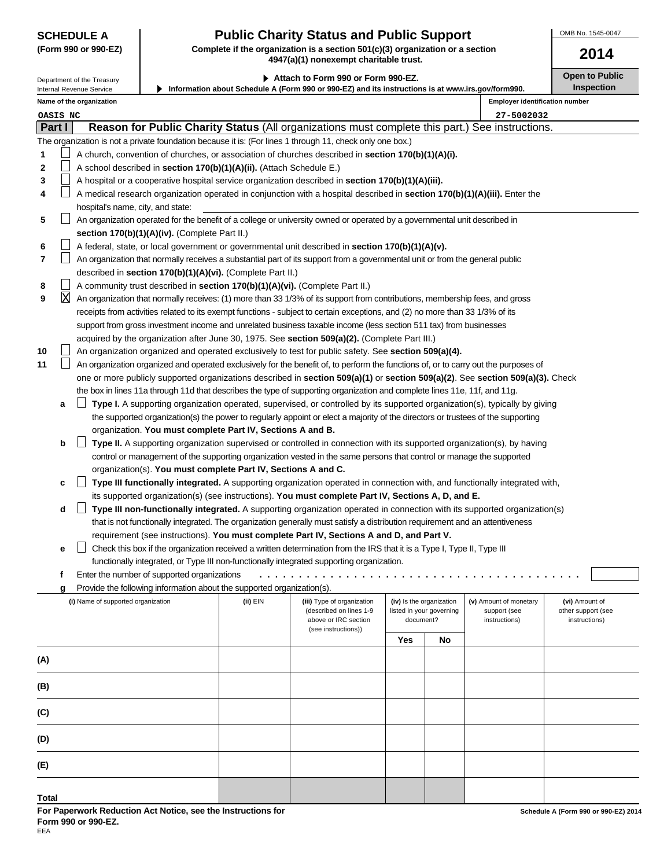Internal Revenue Service

 $\mathsf{L}$ П  $\Box$ 

П

 $\Box$ 

**5**

**6 7**

**8 9**

X

**10 11**

|  |  |  | (Form 990 or 990-EZ) |
|--|--|--|----------------------|
|--|--|--|----------------------|

# **SCHEDULE A Public Charity Status and Public Support**

Complete if the organization is a section 501(c)(3) organization or a section **4947(a)(1) nonexempt charitable trust.**

**Information about Schedule A (Form 990 or 990-EZ) and its instructions is at www.irs.gov/form990. 2014 Part I Reason for Public Charity Status** (All organizations must complete this part.) See instructions. ▶ Attach to Form 990 or Form 990-EZ. **Depiate to Public** Open to Public **Inspection** The organization is not a private foundation because it is: (For lines 1 through 11, check only one box.) A church, convention of churches, or association of churches described in **section 170(b)(1)(A)(i).** A school described in **section 170(b)(1)(A)(ii).** (Attach Schedule E.) A hospital or a cooperative hospital service organization described in **section 170(b)(1)(A)(iii).** A medical research organization operated in conjunction with a hospital described in **section 170(b)(1)(A)(iii).** Enter the hospital's name, city, and state: An organization operated for the benefit of a college or university owned or operated by a governmental unit described in **section 170(b)(1)(A)(iv).** (Complete Part II.) A federal, state, or local government or governmental unit described in **section 170(b)(1)(A)(v).** An organization that normally receives a substantial part of its support from a governmental unit or from the general public described in **section 170(b)(1)(A)(vi).** (Complete Part II.) A community trust described in **section 170(b)(1)(A)(vi).** (Complete Part II.) An organization that normally receives: (1) more than 33 1/3% of its support from contributions, membership fees, and gross receipts from activities related to its exempt functions - subject to certain exceptions, and (2) no more than 33 1/3% of its support from gross investment income and unrelated business taxable income (less section 511 tax) from businesses acquired by the organization after June 30, 1975. See **section 509(a)(2).** (Complete Part III.) **Name of the organization Employer identification number** Department of the Treasury **OASIS NC 27-5002032**

An organization organized and operated exclusively to test for public safety. See **section 509(a)(4).**

| An organization organized and operated exclusively for the benefit of, to perform the functions of, or to carry out the purposes of |
|-------------------------------------------------------------------------------------------------------------------------------------|
| one or more publicly supported organizations described in section 509(a)(1) or section 509(a)(2). See section 509(a)(3). Check      |
| the box in lines 11a through 11d that describes the type of supporting organization and complete lines 11e, 11f, and 11g.           |

|  | <b>a</b> $\Box$ Type I. A supporting organization operated, supervised, or controlled by its supported organization(s), typically by giving |
|--|---------------------------------------------------------------------------------------------------------------------------------------------|
|  | the supported organization(s) the power to regularly appoint or elect a majority of the directors or trustees of the supporting             |
|  | organization. You must complete Part IV, Sections A and B.                                                                                  |

|  | <b>b</b> $\Box$ Type II. A supporting organization supervised or controlled in connection with its supported organization(s), by having |
|--|-----------------------------------------------------------------------------------------------------------------------------------------|
|  | control or management of the supporting organization vested in the same persons that control or manage the supported                    |
|  | organization(s). You must complete Part IV, Sections A and C.                                                                           |

|  | c □ Type III functionally integrated. A supporting organization operated in connection with, and functionally integrated with, |
|--|--------------------------------------------------------------------------------------------------------------------------------|
|  | its supported organization(s) (see instructions). You must complete Part IV, Sections A, D, and E.                             |

|  | $\Box$ Type III non-functionally integrated. A supporting organization operated in connection with its supported organization(s) |
|--|----------------------------------------------------------------------------------------------------------------------------------|
|  | that is not functionally integrated. The organization generally must satisfy a distribution requirement and an attentiveness     |
|  | requirement (see instructions). You must complete Part IV, Sections A and D, and Part V.                                         |

|  | e $\Box$ Check this box if the organization received a written determination from the IRS that it is a Type I, Type II, Type III |
|--|----------------------------------------------------------------------------------------------------------------------------------|
|  | functionally integrated, or Type III non-functionally integrated supporting organization.                                        |

| f Enter the number of supported organizations |  |
|-----------------------------------------------|--|
|-----------------------------------------------|--|

| g Provide the following information about the supported organization(s). |  |
|--------------------------------------------------------------------------|--|
|                                                                          |  |

| (i) Name of supported organization | (ii) EIN<br>(iii) Type of organization<br>(described on lines 1-9<br>above or IRC section<br>(see instructions)) |  | (iv) Is the organization<br>listed in your governing<br>document? |    | (v) Amount of monetary<br>support (see<br>instructions) | (vi) Amount of<br>other support (see<br>instructions) |  |
|------------------------------------|------------------------------------------------------------------------------------------------------------------|--|-------------------------------------------------------------------|----|---------------------------------------------------------|-------------------------------------------------------|--|
|                                    |                                                                                                                  |  | <b>Yes</b>                                                        | No |                                                         |                                                       |  |
| (A)                                |                                                                                                                  |  |                                                                   |    |                                                         |                                                       |  |
| (B)                                |                                                                                                                  |  |                                                                   |    |                                                         |                                                       |  |
| (C)                                |                                                                                                                  |  |                                                                   |    |                                                         |                                                       |  |
| (D)                                |                                                                                                                  |  |                                                                   |    |                                                         |                                                       |  |
| (E)                                |                                                                                                                  |  |                                                                   |    |                                                         |                                                       |  |
| <b>Total</b>                       |                                                                                                                  |  |                                                                   |    |                                                         |                                                       |  |

OMB No. 1545-0047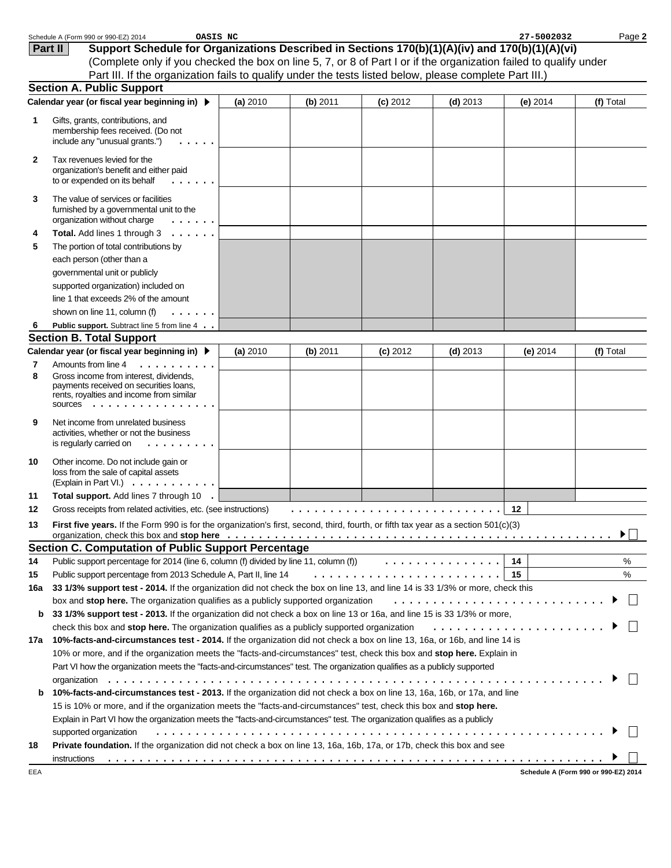|     | Schedule A (Form 990 or 990-EZ) 2014<br>OASIS NC                                                                                   |          |          |            |            | 27-5002032 | Page 2                              |
|-----|------------------------------------------------------------------------------------------------------------------------------------|----------|----------|------------|------------|------------|-------------------------------------|
|     | Support Schedule for Organizations Described in Sections 170(b)(1)(A)(iv) and 170(b)(1)(A)(vi)<br>Part II                          |          |          |            |            |            |                                     |
|     | (Complete only if you checked the box on line 5, 7, or 8 of Part I or if the organization failed to qualify under                  |          |          |            |            |            |                                     |
|     | Part III. If the organization fails to qualify under the tests listed below, please complete Part III.)                            |          |          |            |            |            |                                     |
|     | <b>Section A. Public Support</b>                                                                                                   |          |          |            |            |            |                                     |
|     | Calendar year (or fiscal year beginning in) ▶                                                                                      | (a) 2010 | (b) 2011 | $(c)$ 2012 | $(d)$ 2013 | (e) $2014$ | (f) Total                           |
| 1   | Gifts, grants, contributions, and                                                                                                  |          |          |            |            |            |                                     |
|     | membership fees received. (Do not                                                                                                  |          |          |            |            |            |                                     |
|     | include any "unusual grants.")                                                                                                     |          |          |            |            |            |                                     |
| 2   | Tax revenues levied for the                                                                                                        |          |          |            |            |            |                                     |
|     | organization's benefit and either paid<br>to or expended on its behalf                                                             |          |          |            |            |            |                                     |
| 3   | The value of services or facilities                                                                                                |          |          |            |            |            |                                     |
|     | furnished by a governmental unit to the                                                                                            |          |          |            |            |            |                                     |
|     | organization without charge<br>.                                                                                                   |          |          |            |            |            |                                     |
| 4   | Total. Add lines 1 through 3<br>$\sim$                                                                                             |          |          |            |            |            |                                     |
| 5   | The portion of total contributions by                                                                                              |          |          |            |            |            |                                     |
|     | each person (other than a                                                                                                          |          |          |            |            |            |                                     |
|     | governmental unit or publicly                                                                                                      |          |          |            |            |            |                                     |
|     | supported organization) included on                                                                                                |          |          |            |            |            |                                     |
|     | line 1 that exceeds 2% of the amount                                                                                               |          |          |            |            |            |                                     |
|     | shown on line 11, column (f)                                                                                                       |          |          |            |            |            |                                     |
| 6   | Public support. Subtract line 5 from line 4                                                                                        |          |          |            |            |            |                                     |
|     | <b>Section B. Total Support</b>                                                                                                    |          |          |            |            |            |                                     |
|     | Calendar year (or fiscal year beginning in) ▶                                                                                      | (a) 2010 | (b) 2011 | $(c)$ 2012 | $(d)$ 2013 | (e) 2014   | (f) Total                           |
| 7   | Amounts from line 4<br>.                                                                                                           |          |          |            |            |            |                                     |
| 8   | Gross income from interest, dividends,<br>payments received on securities loans,                                                   |          |          |            |            |            |                                     |
|     | rents, royalties and income from similar                                                                                           |          |          |            |            |            |                                     |
|     | SOUICES                                                                                                                            |          |          |            |            |            |                                     |
| 9   | Net income from unrelated business                                                                                                 |          |          |            |            |            |                                     |
|     | activities, whether or not the business                                                                                            |          |          |            |            |            |                                     |
|     | is regularly carried on<br>.                                                                                                       |          |          |            |            |            |                                     |
| 10  | Other income. Do not include gain or                                                                                               |          |          |            |            |            |                                     |
|     | loss from the sale of capital assets<br>(Explain in Part VI.) $\ldots$ $\ldots$ $\ldots$ .                                         |          |          |            |            |            |                                     |
| 11  | Total support. Add lines 7 through 10 .                                                                                            |          |          |            |            |            |                                     |
| 12  | Gross receipts from related activities, etc. (see instructions)                                                                    |          |          |            |            | 12         |                                     |
| 13  | First five years. If the Form 990 is for the organization's first, second, third, fourth, or fifth tax year as a section 501(c)(3) |          |          |            |            |            |                                     |
|     |                                                                                                                                    |          |          |            |            |            | ▶                                   |
|     | <b>Section C. Computation of Public Support Percentage</b>                                                                         |          |          |            |            |            |                                     |
| 14  | Public support percentage for 2014 (line 6, column (f) divided by line 11, column (f) $\ldots \ldots \ldots \ldots$                |          |          |            |            | 14         | %                                   |
| 15  | Public support percentage from 2013 Schedule A, Part II, line 14                                                                   |          |          |            |            | 15         | $\%$                                |
| 16a | 33 1/3% support test - 2014. If the organization did not check the box on line 13, and line 14 is 33 1/3% or more, check this      |          |          |            |            |            |                                     |
|     | box and stop here. The organization qualifies as a publicly supported organization                                                 |          |          |            |            |            |                                     |
| b   | 33 1/3% support test - 2013. If the organization did not check a box on line 13 or 16a, and line 15 is 33 1/3% or more,            |          |          |            |            |            |                                     |
|     | check this box and stop here. The organization qualifies as a publicly supported organization                                      |          |          |            |            |            |                                     |
| 17а | 10%-facts-and-circumstances test - 2014. If the organization did not check a box on line 13, 16a, or 16b, and line 14 is           |          |          |            |            |            |                                     |
|     | 10% or more, and if the organization meets the "facts-and-circumstances" test, check this box and stop here. Explain in            |          |          |            |            |            |                                     |
|     | Part VI how the organization meets the "facts-and-circumstances" test. The organization qualifies as a publicly supported          |          |          |            |            |            |                                     |
|     |                                                                                                                                    |          |          |            |            |            |                                     |
| b   | 10%-facts-and-circumstances test - 2013. If the organization did not check a box on line 13, 16a, 16b, or 17a, and line            |          |          |            |            |            |                                     |
|     | 15 is 10% or more, and if the organization meets the "facts-and-circumstances" test, check this box and stop here.                 |          |          |            |            |            |                                     |
|     | Explain in Part VI how the organization meets the "facts-and-circumstances" test. The organization qualifies as a publicly         |          |          |            |            |            |                                     |
|     | supported organization                                                                                                             |          |          |            |            |            |                                     |
| 18  | Private foundation. If the organization did not check a box on line 13, 16a, 16b, 17a, or 17b, check this box and see              |          |          |            |            |            |                                     |
|     | instructions                                                                                                                       |          |          |            |            |            |                                     |
| 드드기 |                                                                                                                                    |          |          |            |            |            | Schodule A (Form 000 or 000-F7) 201 |

EEA

**Schedule A (Form 990 or 990-EZ) 2014**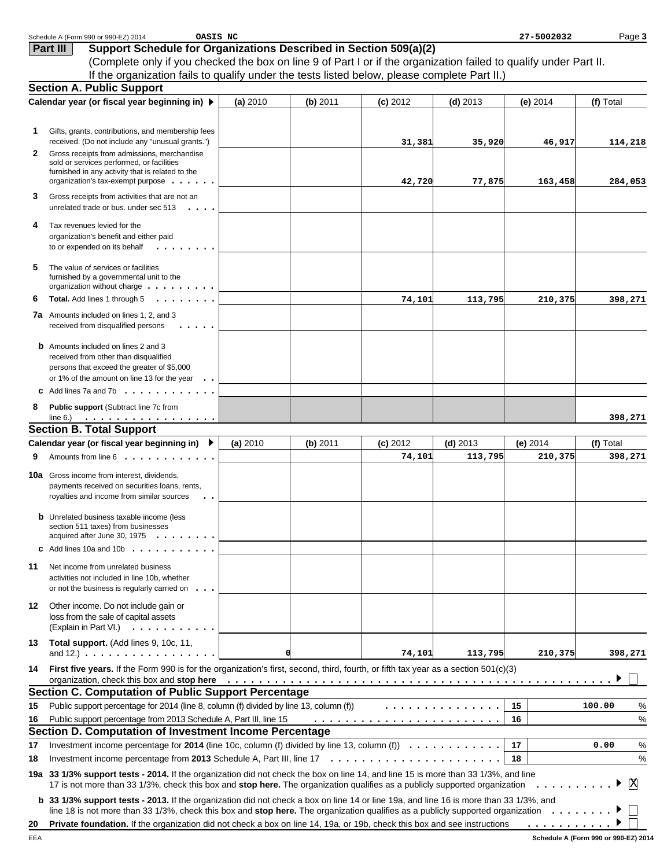|    | Schedule A (Form 990 or 990-EZ) 2014<br>OASIS NC                                                                                                                                                                               |          |          |            |            | 27-5002032       | Page 3       |
|----|--------------------------------------------------------------------------------------------------------------------------------------------------------------------------------------------------------------------------------|----------|----------|------------|------------|------------------|--------------|
|    | Support Schedule for Organizations Described in Section 509(a)(2)<br>Part III                                                                                                                                                  |          |          |            |            |                  |              |
|    | (Complete only if you checked the box on line 9 of Part I or if the organization failed to qualify under Part II.                                                                                                              |          |          |            |            |                  |              |
|    | If the organization fails to qualify under the tests listed below, please complete Part II.)                                                                                                                                   |          |          |            |            |                  |              |
|    | <b>Section A. Public Support</b>                                                                                                                                                                                               |          |          |            |            |                  |              |
|    | Calendar year (or fiscal year beginning in) ▶                                                                                                                                                                                  | (a) 2010 | (b) 2011 | $(c)$ 2012 | $(d)$ 2013 | (e) 2014         | (f) Total    |
|    |                                                                                                                                                                                                                                |          |          |            |            |                  |              |
| 1. | Gifts, grants, contributions, and membership fees                                                                                                                                                                              |          |          |            |            |                  |              |
|    | received. (Do not include any "unusual grants.")                                                                                                                                                                               |          |          | 31,381     | 35,920     | 46,917           | 114,218      |
| 2  | Gross receipts from admissions, merchandise                                                                                                                                                                                    |          |          |            |            |                  |              |
|    | sold or services performed, or facilities                                                                                                                                                                                      |          |          |            |            |                  |              |
|    | furnished in any activity that is related to the<br>organization's tax-exempt purpose $\cdots$ .                                                                                                                               |          |          | 42,720     | 77,875     | 163,458          | 284,053      |
| 3  |                                                                                                                                                                                                                                |          |          |            |            |                  |              |
|    | Gross receipts from activities that are not an<br>unrelated trade or bus. under sec 513                                                                                                                                        |          |          |            |            |                  |              |
|    |                                                                                                                                                                                                                                |          |          |            |            |                  |              |
| 4  | Tax revenues levied for the<br>organization's benefit and either paid                                                                                                                                                          |          |          |            |            |                  |              |
|    | to or expended on its behalf<br>.                                                                                                                                                                                              |          |          |            |            |                  |              |
|    |                                                                                                                                                                                                                                |          |          |            |            |                  |              |
| 5  | The value of services or facilities                                                                                                                                                                                            |          |          |            |            |                  |              |
|    | furnished by a governmental unit to the<br>organization without charge $\dots \dots \dots$                                                                                                                                     |          |          |            |            |                  |              |
| 6  | Total. Add lines 1 through 5<br>.                                                                                                                                                                                              |          |          | 74,101     | 113,795    | 210,375          | 398,271      |
|    | <b>7a</b> Amounts included on lines 1, 2, and 3                                                                                                                                                                                |          |          |            |            |                  |              |
|    | received from disqualified persons                                                                                                                                                                                             |          |          |            |            |                  |              |
|    | <b>b</b> Amounts included on lines 2 and 3                                                                                                                                                                                     |          |          |            |            |                  |              |
|    | received from other than disqualified                                                                                                                                                                                          |          |          |            |            |                  |              |
|    | persons that exceed the greater of \$5,000                                                                                                                                                                                     |          |          |            |            |                  |              |
|    | or 1% of the amount on line 13 for the year<br>$\cdot$ .                                                                                                                                                                       |          |          |            |            |                  |              |
|    | <b>C</b> Add lines 7a and 7b $\ldots$ $\ldots$ $\ldots$ $\ldots$                                                                                                                                                               |          |          |            |            |                  |              |
| 8  | Public support (Subtract line 7c from<br>line 6.) $\ldots \ldots \ldots \ldots \ldots$                                                                                                                                         |          |          |            |            |                  | 398,271      |
|    | <b>Section B. Total Support</b>                                                                                                                                                                                                |          |          |            |            |                  |              |
|    | Calendar year (or fiscal year beginning in) ▶                                                                                                                                                                                  | (a) 2010 | (b) 2011 | $(c)$ 2012 | $(d)$ 2013 | $(e)$ 2014       | (f) Total    |
| 9  | Amounts from line 6                                                                                                                                                                                                            |          |          | 74,101     | 113,795    | 210,375          | 398,271      |
|    |                                                                                                                                                                                                                                |          |          |            |            |                  |              |
|    | <b>10a</b> Gross income from interest, dividends,<br>payments received on securities loans, rents,                                                                                                                             |          |          |            |            |                  |              |
|    | royalties and income from similar sources<br>$\ddot{\phantom{a}}$                                                                                                                                                              |          |          |            |            |                  |              |
|    |                                                                                                                                                                                                                                |          |          |            |            |                  |              |
|    | <b>b</b> Unrelated business taxable income (less<br>section 511 taxes) from businesses                                                                                                                                         |          |          |            |            |                  |              |
|    | acquired after June 30, 1975                                                                                                                                                                                                   |          |          |            |            |                  |              |
|    | C Add lines 10a and 10b $\ldots$                                                                                                                                                                                               |          |          |            |            |                  |              |
| 11 | Net income from unrelated business                                                                                                                                                                                             |          |          |            |            |                  |              |
|    | activities not included in line 10b, whether                                                                                                                                                                                   |          |          |            |            |                  |              |
|    | or not the business is regularly carried on                                                                                                                                                                                    |          |          |            |            |                  |              |
| 12 | Other income. Do not include gain or                                                                                                                                                                                           |          |          |            |            |                  |              |
|    | loss from the sale of capital assets                                                                                                                                                                                           |          |          |            |            |                  |              |
|    | (Explain in Part VI.) $\ldots$ , $\ldots$ , $\ldots$                                                                                                                                                                           |          |          |            |            |                  |              |
| 13 | Total support. (Add lines 9, 10c, 11,                                                                                                                                                                                          |          |          |            |            |                  |              |
|    | and 12.) $\ldots$ $\ldots$ $\ldots$ $\ldots$ $\ldots$ $\ldots$ $\ldots$                                                                                                                                                        | α        |          | 74,101     | 113,795    | 210,375          | 398,271      |
| 14 | First five years. If the Form 990 is for the organization's first, second, third, fourth, or fifth tax year as a section 501(c)(3)                                                                                             |          |          |            |            |                  |              |
|    | organization, check this box and stop here edition of the state of the state of the state of the state of the state of the state of the state of the state of the state of the state of the state of the state of the state of |          |          |            |            |                  |              |
|    | <b>Section C. Computation of Public Support Percentage</b>                                                                                                                                                                     |          |          |            |            |                  |              |
| 15 | Public support percentage for 2014 (line 8, column (f) divided by line 13, column (f))                                                                                                                                         |          |          |            | .          | 15               | 100.00<br>%  |
| 16 | Public support percentage from 2013 Schedule A, Part III, line 15                                                                                                                                                              |          |          |            |            | 16               | $\%$         |
|    | Section D. Computation of Investment Income Percentage                                                                                                                                                                         |          |          |            |            |                  |              |
| 17 | Investment income percentage for 2014 (line 10c, column (f) divided by line 13, column (f) $\ldots \ldots \ldots \ldots$                                                                                                       |          |          |            |            | 17 <sup>17</sup> | $\%$<br>0.00 |
| 18 |                                                                                                                                                                                                                                |          |          |            |            | 18               | $\%$         |
|    | 19a 33 1/3% support tests - 2014. If the organization did not check the box on line 14, and line 15 is more than 33 1/3%, and line                                                                                             |          |          |            |            |                  |              |
|    | 17 is not more than 33 1/3%, check this box and stop here. The organization qualifies as a publicly supported organization                                                                                                     |          |          |            |            | .                | X            |
|    | <b>b</b> 33 1/3% support tests - 2013. If the organization did not check a box on line 14 or line 19a, and line 16 is more than 33 1/3%, and                                                                                   |          |          |            |            |                  |              |
|    | line 18 is not more than 33 1/3%, check this box and stop here. The organization qualifies as a publicly supported organization $\ldots \ldots$                                                                                |          |          |            |            |                  |              |
| 20 | Private foundation. If the organization did not check a box on line 14, 19a, or 19b, check this box and see instructions                                                                                                       |          |          |            |            | .                |              |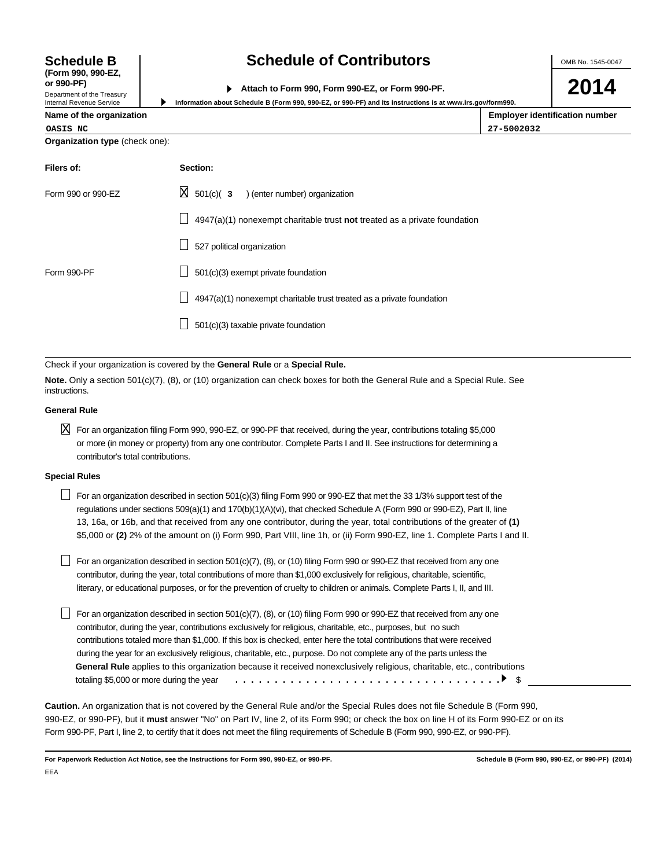OMB No. 1545-0047

| or 990-PF)                   |                                                  |
|------------------------------|--------------------------------------------------|
|                              | Attach to Form 990, Form 990-EZ, or Form 990-PF. |
| Donasterant of the Transmiss |                                                  |

**2014**

|  |  | Name of the organization |  |
|--|--|--------------------------|--|
|--|--|--------------------------|--|

**Schedule B (Form 990, 990-EZ,**

Department of the Treasury Internal Revenue Service

| Internal Revenue Service | Information about Schedule B (Form 990, 990-EZ, or 990-PF) and its instructions is at www.irs.gov/form990. |               |  |  |  |
|--------------------------|------------------------------------------------------------------------------------------------------------|---------------|--|--|--|
| Name of the organization |                                                                                                            | Employer ider |  |  |  |
| OASIS NC                 |                                                                                                            | 27-5002032    |  |  |  |

|         | ployer identification number |  |
|---------|------------------------------|--|
| 5002032 |                              |  |

| <b>Organization type (check one):</b> |                                                                           |
|---------------------------------------|---------------------------------------------------------------------------|
| Filers of:                            | Section:                                                                  |
| Form 990 or 990-EZ                    | $\boxtimes$ 501(c)( 3 ) (enter number) organization                       |
|                                       | 4947(a)(1) nonexempt charitable trust not treated as a private foundation |
|                                       | 527 political organization                                                |
| Form 990-PF                           | 501(c)(3) exempt private foundation                                       |
|                                       | 4947(a)(1) nonexempt charitable trust treated as a private foundation     |
|                                       | 501(c)(3) taxable private foundation                                      |

Check if your organization is covered by the **General Rule** or a **Special Rule.**

**Note.** Only a section 501(c)(7), (8), or (10) organization can check boxes for both the General Rule and a Special Rule. See instructions.

### **General Rule**

 $\boxtimes$  For an organization filing Form 990, 990-EZ, or 990-PF that received, during the year, contributions totaling \$5,000 or more (in money or property) from any one contributor. Complete Parts I and II. See instructions for determining a contributor's total contributions.

### **Special Rules**

For an organization described in section 501(c)(3) filing Form 990 or 990-EZ that met the 33 1/3% support test of the regulations under sections 509(a)(1) and 170(b)(1)(A)(vi), that checked Schedule A (Form 990 or 990-EZ), Part II, line 13, 16a, or 16b, and that received from any one contributor, during the year, total contributions of the greater of **(1)** \$5,000 or **(2)** 2% of the amount on (i) Form 990, Part VIII, line 1h, or (ii) Form 990-EZ, line 1. Complete Parts I and II.

For an organization described in section  $501(c)(7)$ , (8), or (10) filing Form 990 or 990-EZ that received from any one contributor, during the year, total contributions of more than \$1,000 exclusively for religious, charitable, scientific, literary, or educational purposes, or for the prevention of cruelty to children or animals. Complete Parts I, II, and III.

For an organization described in section  $501(c)(7)$ ,  $(8)$ , or (10) filing Form 990 or 990-EZ that received from any one contributor, during the year, contributions exclusively for religious, charitable, etc., purposes, but no such contributions totaled more than \$1,000. If this box is checked, enter here the total contributions that were received during the year for an exclusively religious, charitable, etc., purpose. Do not complete any of the parts unless the **General Rule** applies to this organization because it received nonexclusively religious, charitable, etc., contributions totaling \$5,000 or more during the year \$ ..................................

**Caution.** An organization that is not covered by the General Rule and/or the Special Rules does not file Schedule B (Form 990, 990-EZ, or 990-PF), but it **must** answer "No" on Part IV, line 2, of its Form 990; or check the box on line H of its Form 990-EZ or on its Form 990-PF, Part I, line 2, to certify that it does not meet the filing requirements of Schedule B (Form 990, 990-EZ, or 990-PF).

**For Paperwork Reduction Act Notice, see the Instructions for Form 990, 990-EZ, or 990-PF. Schedule B (Form 990, 990-EZ, or 990-PF) (2014)** EEA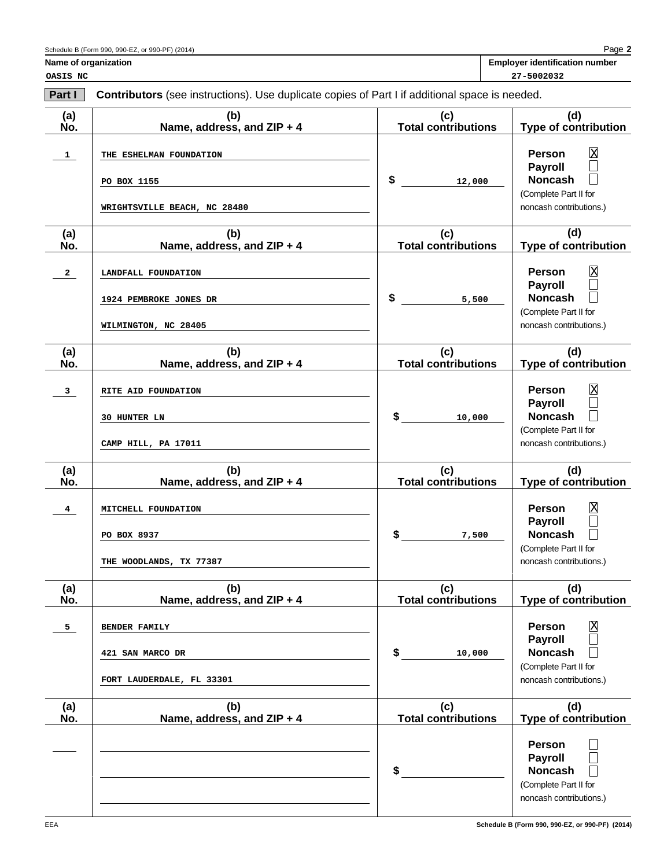|  | <b>Employer identification number</b> |  |
|--|---------------------------------------|--|
|--|---------------------------------------|--|

**Name of organization** 

**Part I Contributors** (see instructions). Use duplicate copies of Part I if additional space is needed. **(a) (b) (c) (d) No. Name, address, and ZIP + 4 Total contributions Type of contribution Person** X<br>□ **1 THE ESHELMAN FOUNDATION Payroll**  $\Box$ **\$ Noncash 12,000 PO BOX 1155** (Complete Part II for noncash contributions.) **WRIGHTSVILLE BEACH, NC 28480 (a) (b) (c) (d) No. Name, address, and ZIP + 4 Total contributions Type of contribution**  $\overline{\mathbb{R}}$ **Person 2 LANDFALL FOUNDATION Payroll**  $\Box$ **\$ Noncash 1924 PEMBROKE JONES DR 5,500**  (Complete Part II for **WILMINGTON, NC 28405** noncash contributions.) **(a) (b) (c) (d) No. Name, address, and ZIP + 4 Total contributions Type of contribution 3 RITE AID FOUNDATION Person** X **Payroll** П  $\Box$ **\$ Noncash 30 HUNTER LN 10,000**  (Complete Part II for noncash contributions.) **CAMP HILL, PA 17011 (a) (b) (c) (d) No. Name, address, and ZIP + 4 Total contributions Type of contribution Person** X<br>N **4 MITCHELL FOUNDATION Payroll**  $\Box$ **\$ Noncash 7,500 PO BOX 8937** (Complete Part II for **THE WOODLANDS, TX 77387** noncash contributions.) **(a) (b) (c) (d) No. Name, address, and ZIP + 4 Total contributions Type of contribution Person** X **5 BENDER FAMILY Payroll**  $\mathbf{L}$ **\$ Noncash**  $\Box$ **421 SAN MARCO DR 10,000**  (Complete Part II for **FORT LAUDERDALE, FL 33301**noncash contributions.) **(a) (b) (c) (d) No. Name, address, and ZIP + 4 Total contributions Type of contribution Person**  $\mathbf{L}$  $\Box$ **Payroll**  $\Box$ **\$ Noncash** (Complete Part II for noncash contributions.)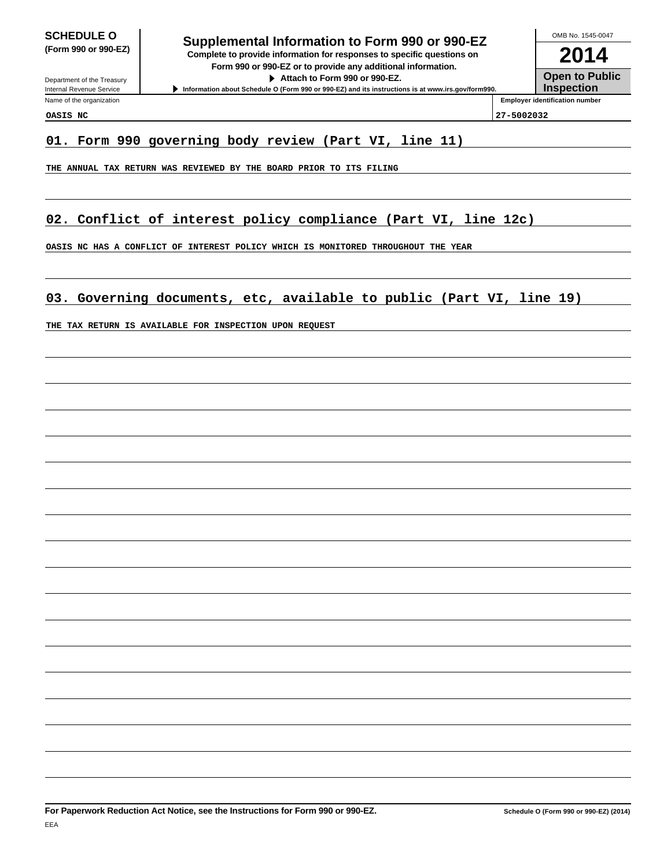Department of the Treasury Internal Revenue Service Name of the organization

# **SCHEDULE O**<br> **Supplemental Information to Form 990 or 990-EZ**<br> **Supplemental Information to Form 990 or 990-EZ**

**(Form 990 or 990-EZ) Complete to provide information for responses to specific questions on Form 990 or 990-EZ or to provide any additional information. Attach to Form 990 or 990-EZ.**

**Information about Schedule O (Form 990 or 990-EZ) and its instructions is at www.irs.gov/form990.**

**2014** OMB No. 1545-0047

**Open to Public**

**Inspection Employer identification number**

**OASIS NC 27-5002032**

## **01. Form 990 governing body review (Part VI, line 11)**

**THE ANNUAL TAX RETURN WAS REVIEWED BY THE BOARD PRIOR TO ITS FILING**

# **02. Conflict of interest policy compliance (Part VI, line 12c)**

**OASIS NC HAS A CONFLICT OF INTEREST POLICY WHICH IS MONITORED THROUGHOUT THE YEAR**

# **03. Governing documents, etc, available to public (Part VI, line 19)**

**THE TAX RETURN IS AVAILABLE FOR INSPECTION UPON REQUEST**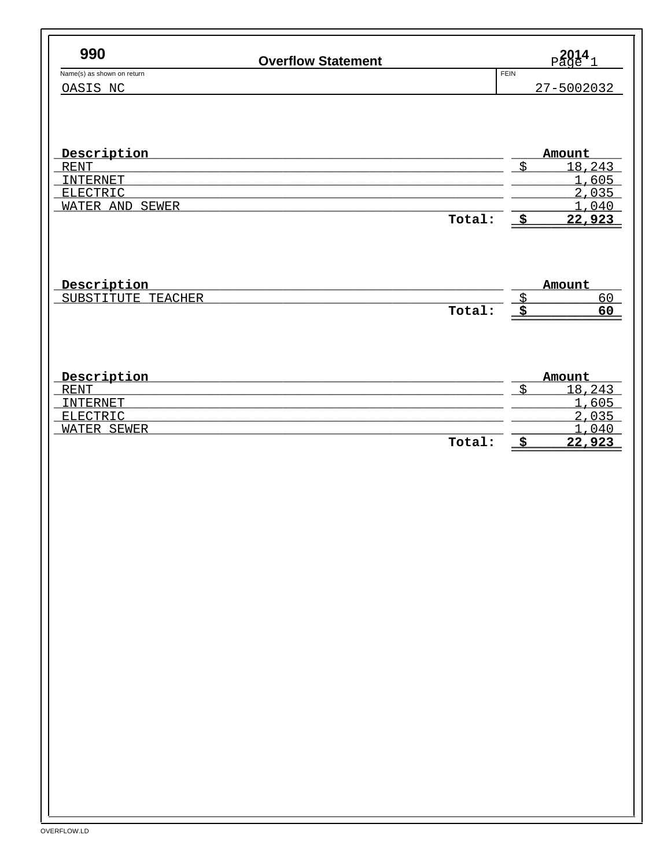| <b>Overflow Statement</b><br>Name(s) as shown on return<br>OASIS NC |        | $_{\text{Page}}^{2014}$ |
|---------------------------------------------------------------------|--------|-------------------------|
|                                                                     |        | <b>FEIN</b>             |
|                                                                     |        | 27-5002032              |
|                                                                     |        |                         |
| Description                                                         |        | Amount                  |
| <b>RENT</b>                                                         |        | \$<br>18,243            |
| <b>INTERNET</b>                                                     |        | 1,605                   |
| ELECTRIC<br>WATER AND SEWER                                         |        | 2,035<br>1,040          |
|                                                                     | Total: | $\frac{1}{2}$<br>22,923 |
|                                                                     |        |                         |
| Description                                                         |        | Amount                  |
| SUBSTITUTE TEACHER                                                  |        | $\frac{S}{2}$<br>60     |
|                                                                     | Total: | <u>े इ</u><br>60        |
|                                                                     |        |                         |
| Description                                                         |        | Amount                  |
| <b>RENT</b>                                                         |        | \$<br>18,243            |
| <b>INTERNET</b><br>ELECTRIC                                         |        | 1,605                   |
| WATER SEWER                                                         |        | 2,035<br>1,040          |
|                                                                     | Total: | $\frac{1}{2}$<br>22,923 |
|                                                                     |        |                         |
|                                                                     |        |                         |
|                                                                     |        |                         |
|                                                                     |        |                         |
|                                                                     |        |                         |
|                                                                     |        |                         |
|                                                                     |        |                         |
|                                                                     |        |                         |
|                                                                     |        |                         |
|                                                                     |        |                         |
|                                                                     |        |                         |
|                                                                     |        |                         |
|                                                                     |        |                         |
|                                                                     |        |                         |
|                                                                     |        |                         |
|                                                                     |        |                         |
|                                                                     |        |                         |
|                                                                     |        |                         |
|                                                                     |        |                         |
|                                                                     |        |                         |
|                                                                     |        |                         |
|                                                                     |        |                         |
|                                                                     |        |                         |